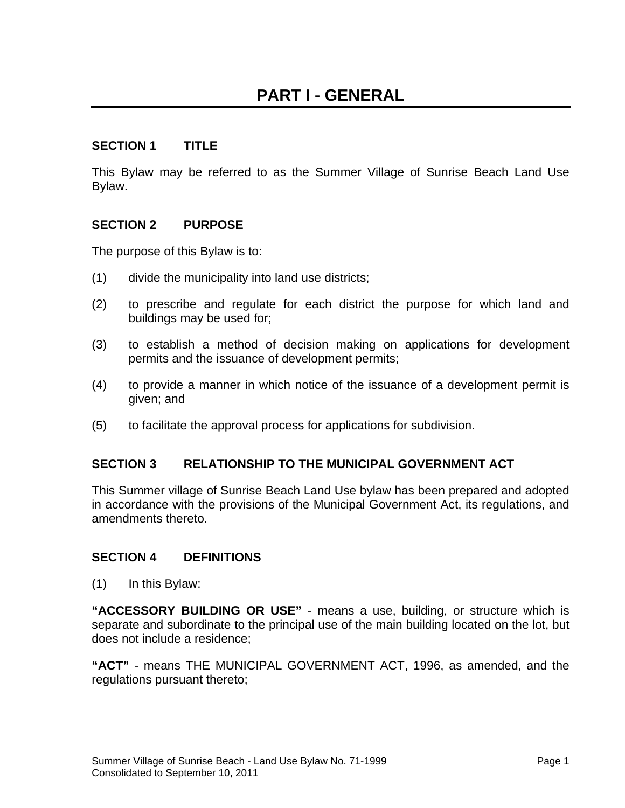#### **SECTION 1 TITLE**

This Bylaw may be referred to as the Summer Village of Sunrise Beach Land Use Bylaw.

#### **SECTION 2 PURPOSE**

The purpose of this Bylaw is to:

- (1) divide the municipality into land use districts;
- (2) to prescribe and regulate for each district the purpose for which land and buildings may be used for;
- (3) to establish a method of decision making on applications for development permits and the issuance of development permits;
- (4) to provide a manner in which notice of the issuance of a development permit is given; and
- (5) to facilitate the approval process for applications for subdivision.

#### **SECTION 3 RELATIONSHIP TO THE MUNICIPAL GOVERNMENT ACT**

This Summer village of Sunrise Beach Land Use bylaw has been prepared and adopted in accordance with the provisions of the Municipal Government Act, its regulations, and amendments thereto.

#### **SECTION 4 DEFINITIONS**

(1) In this Bylaw:

**"ACCESSORY BUILDING OR USE"** - means a use, building, or structure which is separate and subordinate to the principal use of the main building located on the lot, but does not include a residence;

**"ACT"** - means THE MUNICIPAL GOVERNMENT ACT, 1996, as amended, and the regulations pursuant thereto;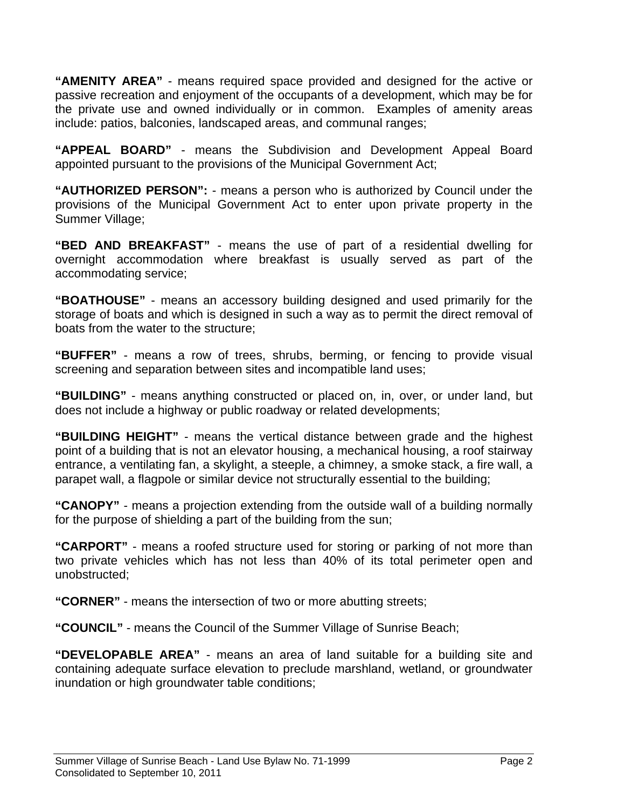**"AMENITY AREA"** - means required space provided and designed for the active or passive recreation and enjoyment of the occupants of a development, which may be for the private use and owned individually or in common. Examples of amenity areas include: patios, balconies, landscaped areas, and communal ranges;

**"APPEAL BOARD"** - means the Subdivision and Development Appeal Board appointed pursuant to the provisions of the Municipal Government Act;

**"AUTHORIZED PERSON":** - means a person who is authorized by Council under the provisions of the Municipal Government Act to enter upon private property in the Summer Village;

**"BED AND BREAKFAST"** - means the use of part of a residential dwelling for overnight accommodation where breakfast is usually served as part of the accommodating service;

**"BOATHOUSE"** - means an accessory building designed and used primarily for the storage of boats and which is designed in such a way as to permit the direct removal of boats from the water to the structure;

**"BUFFER"** - means a row of trees, shrubs, berming, or fencing to provide visual screening and separation between sites and incompatible land uses;

**"BUILDING"** - means anything constructed or placed on, in, over, or under land, but does not include a highway or public roadway or related developments;

**"BUILDING HEIGHT"** - means the vertical distance between grade and the highest point of a building that is not an elevator housing, a mechanical housing, a roof stairway entrance, a ventilating fan, a skylight, a steeple, a chimney, a smoke stack, a fire wall, a parapet wall, a flagpole or similar device not structurally essential to the building;

**"CANOPY"** - means a projection extending from the outside wall of a building normally for the purpose of shielding a part of the building from the sun;

**"CARPORT"** - means a roofed structure used for storing or parking of not more than two private vehicles which has not less than 40% of its total perimeter open and unobstructed;

**"CORNER"** - means the intersection of two or more abutting streets;

**"COUNCIL"** - means the Council of the Summer Village of Sunrise Beach;

**"DEVELOPABLE AREA"** - means an area of land suitable for a building site and containing adequate surface elevation to preclude marshland, wetland, or groundwater inundation or high groundwater table conditions;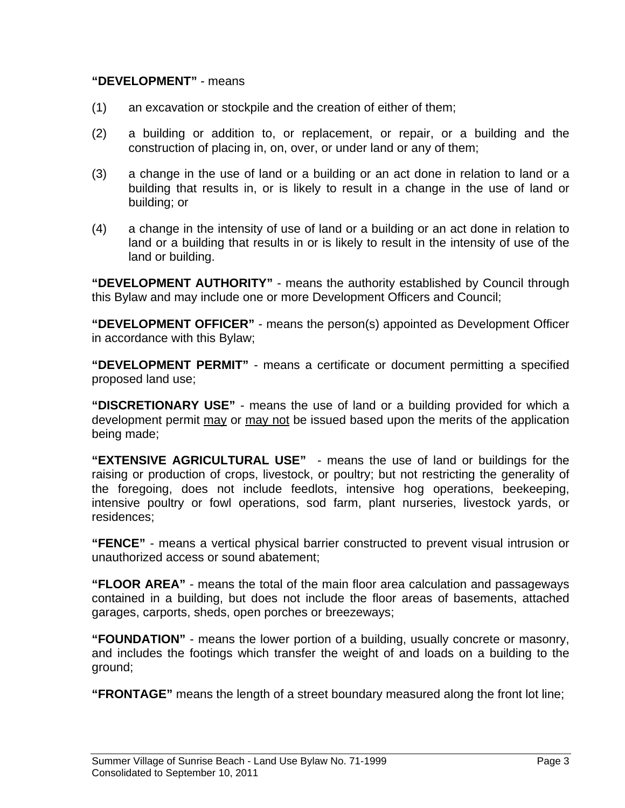#### **"DEVELOPMENT"** - means

- (1) an excavation or stockpile and the creation of either of them;
- (2) a building or addition to, or replacement, or repair, or a building and the construction of placing in, on, over, or under land or any of them;
- (3) a change in the use of land or a building or an act done in relation to land or a building that results in, or is likely to result in a change in the use of land or building; or
- (4) a change in the intensity of use of land or a building or an act done in relation to land or a building that results in or is likely to result in the intensity of use of the land or building.

**"DEVELOPMENT AUTHORITY"** - means the authority established by Council through this Bylaw and may include one or more Development Officers and Council;

**"DEVELOPMENT OFFICER"** - means the person(s) appointed as Development Officer in accordance with this Bylaw;

**"DEVELOPMENT PERMIT"** - means a certificate or document permitting a specified proposed land use;

**"DISCRETIONARY USE"** - means the use of land or a building provided for which a development permit may or may not be issued based upon the merits of the application being made;

**"EXTENSIVE AGRICULTURAL USE"** - means the use of land or buildings for the raising or production of crops, livestock, or poultry; but not restricting the generality of the foregoing, does not include feedlots, intensive hog operations, beekeeping, intensive poultry or fowl operations, sod farm, plant nurseries, livestock yards, or residences;

**"FENCE"** - means a vertical physical barrier constructed to prevent visual intrusion or unauthorized access or sound abatement;

**"FLOOR AREA"** - means the total of the main floor area calculation and passageways contained in a building, but does not include the floor areas of basements, attached garages, carports, sheds, open porches or breezeways;

**"FOUNDATION"** - means the lower portion of a building, usually concrete or masonry, and includes the footings which transfer the weight of and loads on a building to the ground;

**"FRONTAGE"** means the length of a street boundary measured along the front lot line;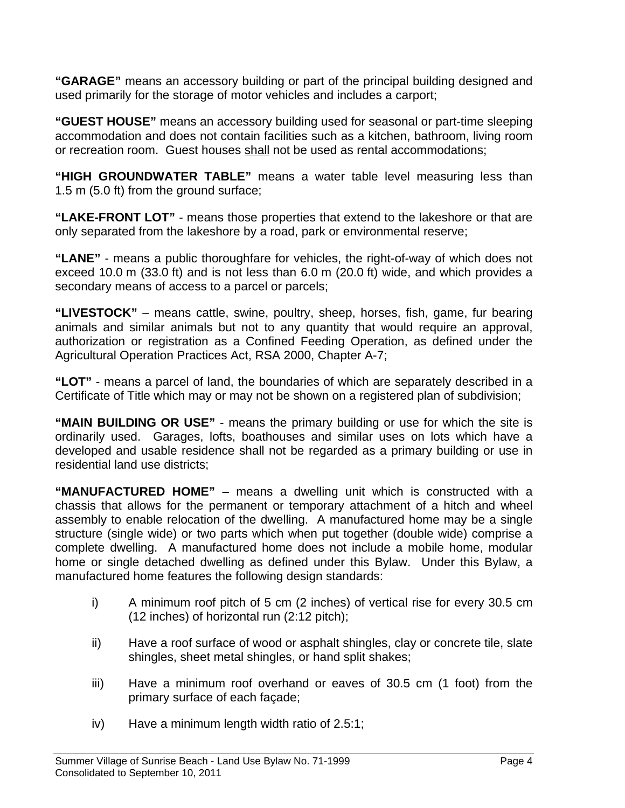**"GARAGE"** means an accessory building or part of the principal building designed and used primarily for the storage of motor vehicles and includes a carport;

**"GUEST HOUSE"** means an accessory building used for seasonal or part-time sleeping accommodation and does not contain facilities such as a kitchen, bathroom, living room or recreation room. Guest houses shall not be used as rental accommodations;

**"HIGH GROUNDWATER TABLE"** means a water table level measuring less than 1.5 m (5.0 ft) from the ground surface;

**"LAKE-FRONT LOT"** - means those properties that extend to the lakeshore or that are only separated from the lakeshore by a road, park or environmental reserve;

**"LANE"** - means a public thoroughfare for vehicles, the right-of-way of which does not exceed 10.0 m (33.0 ft) and is not less than 6.0 m (20.0 ft) wide, and which provides a secondary means of access to a parcel or parcels;

**"LIVESTOCK"** – means cattle, swine, poultry, sheep, horses, fish, game, fur bearing animals and similar animals but not to any quantity that would require an approval, authorization or registration as a Confined Feeding Operation, as defined under the Agricultural Operation Practices Act, RSA 2000, Chapter A-7;

**"LOT"** - means a parcel of land, the boundaries of which are separately described in a Certificate of Title which may or may not be shown on a registered plan of subdivision;

**"MAIN BUILDING OR USE"** - means the primary building or use for which the site is ordinarily used. Garages, lofts, boathouses and similar uses on lots which have a developed and usable residence shall not be regarded as a primary building or use in residential land use districts;

**"MANUFACTURED HOME"** – means a dwelling unit which is constructed with a chassis that allows for the permanent or temporary attachment of a hitch and wheel assembly to enable relocation of the dwelling. A manufactured home may be a single structure (single wide) or two parts which when put together (double wide) comprise a complete dwelling. A manufactured home does not include a mobile home, modular home or single detached dwelling as defined under this Bylaw. Under this Bylaw, a manufactured home features the following design standards:

- i) A minimum roof pitch of 5 cm (2 inches) of vertical rise for every 30.5 cm (12 inches) of horizontal run (2:12 pitch);
- ii) Have a roof surface of wood or asphalt shingles, clay or concrete tile, slate shingles, sheet metal shingles, or hand split shakes;
- iii) Have a minimum roof overhand or eaves of 30.5 cm (1 foot) from the primary surface of each façade;
- iv) Have a minimum length width ratio of 2.5:1;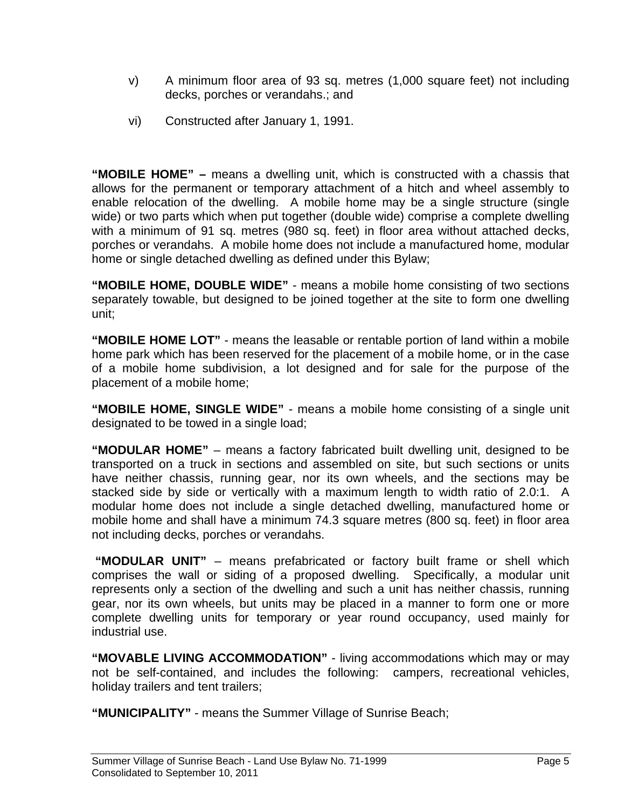- v) A minimum floor area of 93 sq. metres (1,000 square feet) not including decks, porches or verandahs.; and
- vi) Constructed after January 1, 1991.

**"MOBILE HOME" –** means a dwelling unit, which is constructed with a chassis that allows for the permanent or temporary attachment of a hitch and wheel assembly to enable relocation of the dwelling. A mobile home may be a single structure (single wide) or two parts which when put together (double wide) comprise a complete dwelling with a minimum of 91 sq. metres (980 sq. feet) in floor area without attached decks, porches or verandahs. A mobile home does not include a manufactured home, modular home or single detached dwelling as defined under this Bylaw;

**"MOBILE HOME, DOUBLE WIDE"** - means a mobile home consisting of two sections separately towable, but designed to be joined together at the site to form one dwelling unit;

**"MOBILE HOME LOT"** - means the leasable or rentable portion of land within a mobile home park which has been reserved for the placement of a mobile home, or in the case of a mobile home subdivision, a lot designed and for sale for the purpose of the placement of a mobile home;

**"MOBILE HOME, SINGLE WIDE"** - means a mobile home consisting of a single unit designated to be towed in a single load;

**"MODULAR HOME"** – means a factory fabricated built dwelling unit, designed to be transported on a truck in sections and assembled on site, but such sections or units have neither chassis, running gear, nor its own wheels, and the sections may be stacked side by side or vertically with a maximum length to width ratio of 2.0:1. A modular home does not include a single detached dwelling, manufactured home or mobile home and shall have a minimum 74.3 square metres (800 sq. feet) in floor area not including decks, porches or verandahs.

 **"MODULAR UNIT"** – means prefabricated or factory built frame or shell which comprises the wall or siding of a proposed dwelling. Specifically, a modular unit represents only a section of the dwelling and such a unit has neither chassis, running gear, nor its own wheels, but units may be placed in a manner to form one or more complete dwelling units for temporary or year round occupancy, used mainly for industrial use.

**"MOVABLE LIVING ACCOMMODATION"** - living accommodations which may or may not be self-contained, and includes the following: campers, recreational vehicles, holiday trailers and tent trailers;

**"MUNICIPALITY"** - means the Summer Village of Sunrise Beach;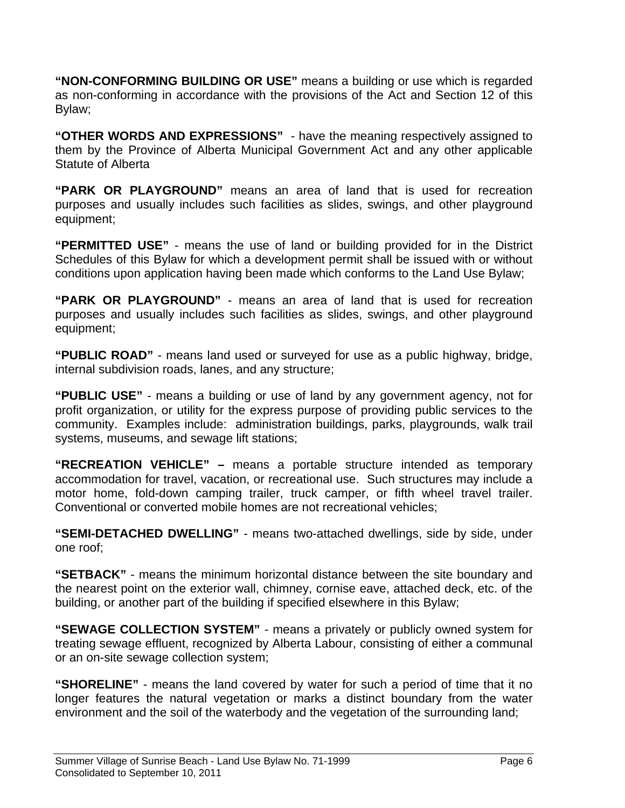**"NON-CONFORMING BUILDING OR USE"** means a building or use which is regarded as non-conforming in accordance with the provisions of the Act and Section 12 of this Bylaw;

**"OTHER WORDS AND EXPRESSIONS"** - have the meaning respectively assigned to them by the Province of Alberta Municipal Government Act and any other applicable Statute of Alberta

**"PARK OR PLAYGROUND"** means an area of land that is used for recreation purposes and usually includes such facilities as slides, swings, and other playground equipment;

**"PERMITTED USE"** - means the use of land or building provided for in the District Schedules of this Bylaw for which a development permit shall be issued with or without conditions upon application having been made which conforms to the Land Use Bylaw;

**"PARK OR PLAYGROUND"** - means an area of land that is used for recreation purposes and usually includes such facilities as slides, swings, and other playground equipment;

**"PUBLIC ROAD"** - means land used or surveyed for use as a public highway, bridge, internal subdivision roads, lanes, and any structure;

**"PUBLIC USE"** - means a building or use of land by any government agency, not for profit organization, or utility for the express purpose of providing public services to the community. Examples include: administration buildings, parks, playgrounds, walk trail systems, museums, and sewage lift stations;

**"RECREATION VEHICLE" –** means a portable structure intended as temporary accommodation for travel, vacation, or recreational use. Such structures may include a motor home, fold-down camping trailer, truck camper, or fifth wheel travel trailer. Conventional or converted mobile homes are not recreational vehicles;

**"SEMI-DETACHED DWELLING"** - means two-attached dwellings, side by side, under one roof;

**"SETBACK"** - means the minimum horizontal distance between the site boundary and the nearest point on the exterior wall, chimney, cornise eave, attached deck, etc. of the building, or another part of the building if specified elsewhere in this Bylaw;

**"SEWAGE COLLECTION SYSTEM"** - means a privately or publicly owned system for treating sewage effluent, recognized by Alberta Labour, consisting of either a communal or an on-site sewage collection system;

**"SHORELINE"** - means the land covered by water for such a period of time that it no longer features the natural vegetation or marks a distinct boundary from the water environment and the soil of the waterbody and the vegetation of the surrounding land;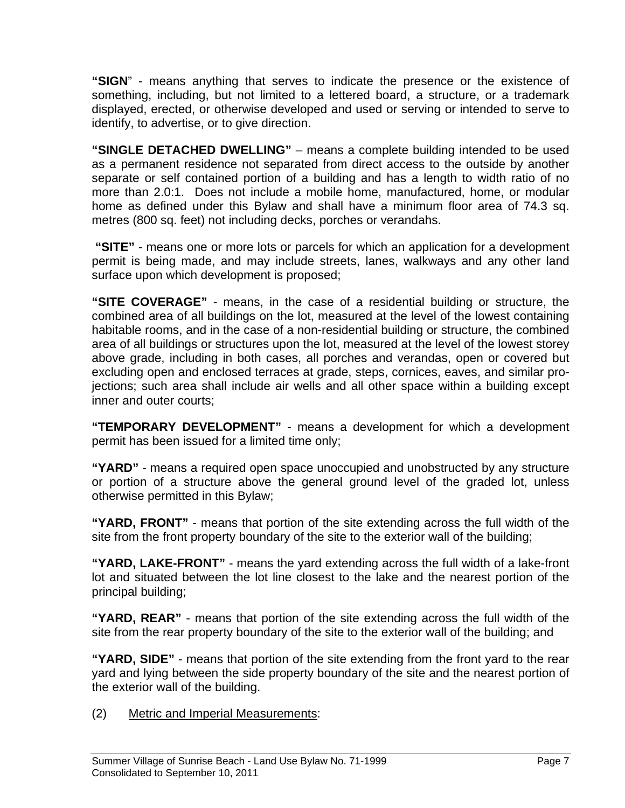**"SIGN**" - means anything that serves to indicate the presence or the existence of something, including, but not limited to a lettered board, a structure, or a trademark displayed, erected, or otherwise developed and used or serving or intended to serve to identify, to advertise, or to give direction.

**"SINGLE DETACHED DWELLING"** – means a complete building intended to be used as a permanent residence not separated from direct access to the outside by another separate or self contained portion of a building and has a length to width ratio of no more than 2.0:1. Does not include a mobile home, manufactured, home, or modular home as defined under this Bylaw and shall have a minimum floor area of 74.3 sq. metres (800 sq. feet) not including decks, porches or verandahs.

 **"SITE"** - means one or more lots or parcels for which an application for a development permit is being made, and may include streets, lanes, walkways and any other land surface upon which development is proposed;

**"SITE COVERAGE"** - means, in the case of a residential building or structure, the combined area of all buildings on the lot, measured at the level of the lowest containing habitable rooms, and in the case of a non-residential building or structure, the combined area of all buildings or structures upon the lot, measured at the level of the lowest storey above grade, including in both cases, all porches and verandas, open or covered but excluding open and enclosed terraces at grade, steps, cornices, eaves, and similar projections; such area shall include air wells and all other space within a building except inner and outer courts;

**"TEMPORARY DEVELOPMENT"** - means a development for which a development permit has been issued for a limited time only;

**"YARD"** - means a required open space unoccupied and unobstructed by any structure or portion of a structure above the general ground level of the graded lot, unless otherwise permitted in this Bylaw;

**"YARD, FRONT"** - means that portion of the site extending across the full width of the site from the front property boundary of the site to the exterior wall of the building;

**"YARD, LAKE-FRONT"** - means the yard extending across the full width of a lake-front lot and situated between the lot line closest to the lake and the nearest portion of the principal building;

**"YARD, REAR"** - means that portion of the site extending across the full width of the site from the rear property boundary of the site to the exterior wall of the building; and

**"YARD, SIDE"** - means that portion of the site extending from the front yard to the rear yard and lying between the side property boundary of the site and the nearest portion of the exterior wall of the building.

(2) Metric and Imperial Measurements: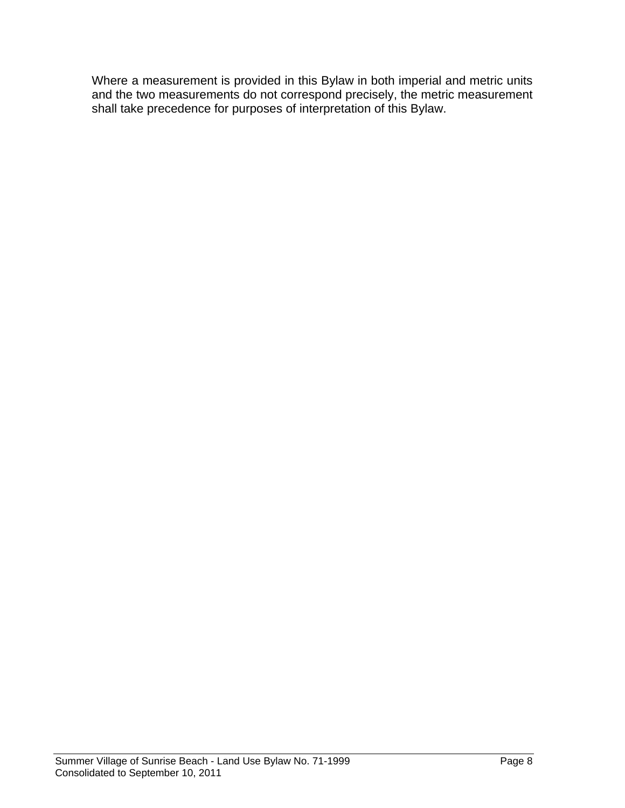Where a measurement is provided in this Bylaw in both imperial and metric units and the two measurements do not correspond precisely, the metric measurement shall take precedence for purposes of interpretation of this Bylaw.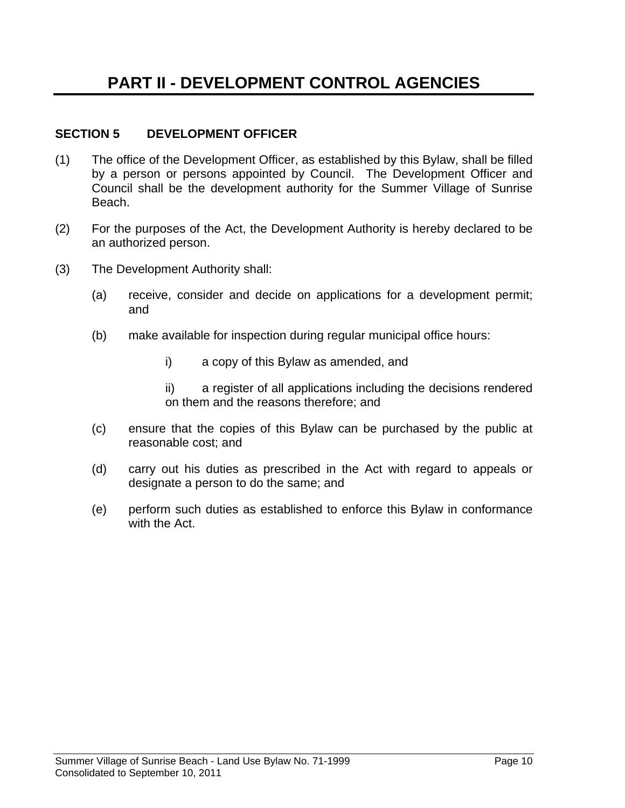#### **SECTION 5 DEVELOPMENT OFFICER**

- (1) The office of the Development Officer, as established by this Bylaw, shall be filled by a person or persons appointed by Council. The Development Officer and Council shall be the development authority for the Summer Village of Sunrise Beach.
- (2) For the purposes of the Act, the Development Authority is hereby declared to be an authorized person.
- (3) The Development Authority shall:
	- (a) receive, consider and decide on applications for a development permit; and
	- (b) make available for inspection during regular municipal office hours:
		- i) a copy of this Bylaw as amended, and
		- ii) a register of all applications including the decisions rendered on them and the reasons therefore; and
	- (c) ensure that the copies of this Bylaw can be purchased by the public at reasonable cost; and
	- (d) carry out his duties as prescribed in the Act with regard to appeals or designate a person to do the same; and
	- (e) perform such duties as established to enforce this Bylaw in conformance with the Act.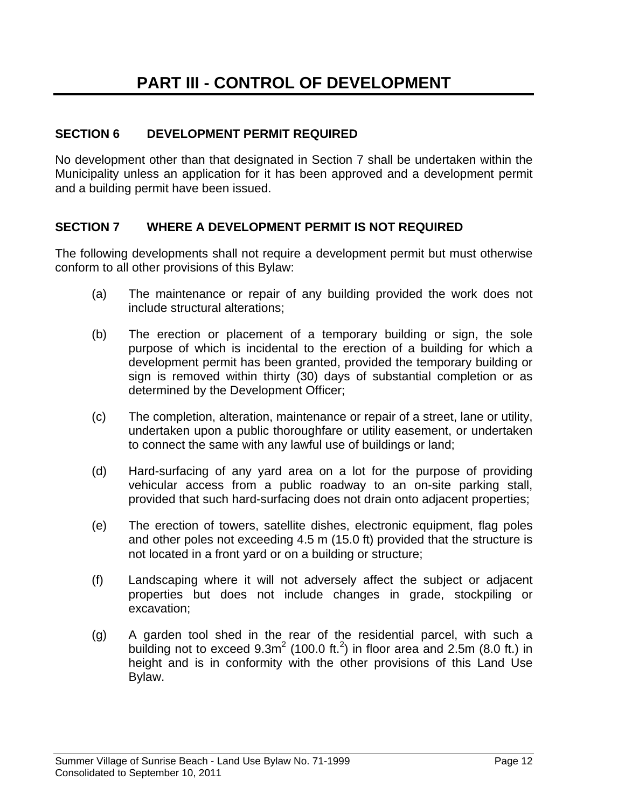#### **SECTION 6 DEVELOPMENT PERMIT REQUIRED**

No development other than that designated in Section 7 shall be undertaken within the Municipality unless an application for it has been approved and a development permit and a building permit have been issued.

#### **SECTION 7 WHERE A DEVELOPMENT PERMIT IS NOT REQUIRED**

The following developments shall not require a development permit but must otherwise conform to all other provisions of this Bylaw:

- (a) The maintenance or repair of any building provided the work does not include structural alterations;
- (b) The erection or placement of a temporary building or sign, the sole purpose of which is incidental to the erection of a building for which a development permit has been granted, provided the temporary building or sign is removed within thirty (30) days of substantial completion or as determined by the Development Officer;
- (c) The completion, alteration, maintenance or repair of a street, lane or utility, undertaken upon a public thoroughfare or utility easement, or undertaken to connect the same with any lawful use of buildings or land;
- (d) Hard-surfacing of any yard area on a lot for the purpose of providing vehicular access from a public roadway to an on-site parking stall, provided that such hard-surfacing does not drain onto adjacent properties;
- (e) The erection of towers, satellite dishes, electronic equipment, flag poles and other poles not exceeding 4.5 m (15.0 ft) provided that the structure is not located in a front yard or on a building or structure;
- (f) Landscaping where it will not adversely affect the subject or adjacent properties but does not include changes in grade, stockpiling or excavation;
- (g) A garden tool shed in the rear of the residential parcel, with such a building not to exceed  $9.3m^2$  (100.0 ft.<sup>2</sup>) in floor area and 2.5m (8.0 ft.) in height and is in conformity with the other provisions of this Land Use Bylaw.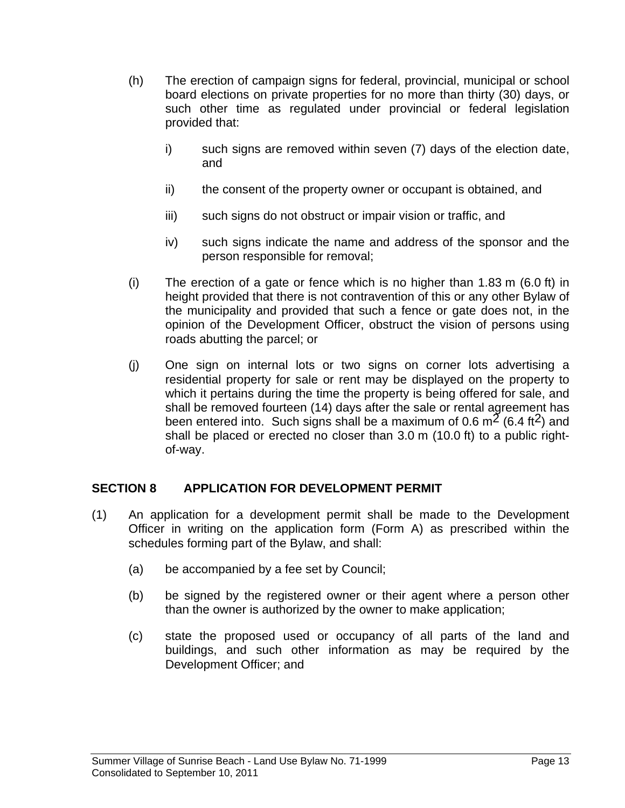- (h) The erection of campaign signs for federal, provincial, municipal or school board elections on private properties for no more than thirty (30) days, or such other time as regulated under provincial or federal legislation provided that:
	- i) such signs are removed within seven (7) days of the election date, and
	- ii) the consent of the property owner or occupant is obtained, and
	- iii) such signs do not obstruct or impair vision or traffic, and
	- iv) such signs indicate the name and address of the sponsor and the person responsible for removal;
- (i) The erection of a gate or fence which is no higher than 1.83 m (6.0 ft) in height provided that there is not contravention of this or any other Bylaw of the municipality and provided that such a fence or gate does not, in the opinion of the Development Officer, obstruct the vision of persons using roads abutting the parcel; or
- (j) One sign on internal lots or two signs on corner lots advertising a residential property for sale or rent may be displayed on the property to which it pertains during the time the property is being offered for sale, and shall be removed fourteen (14) days after the sale or rental agreement has been entered into. Such signs shall be a maximum of 0.6  $m^2$  (6.4 ft<sup>2</sup>) and shall be placed or erected no closer than 3.0 m (10.0 ft) to a public rightof-way.

#### **SECTION 8 APPLICATION FOR DEVELOPMENT PERMIT**

- (1) An application for a development permit shall be made to the Development Officer in writing on the application form (Form A) as prescribed within the schedules forming part of the Bylaw, and shall:
	- (a) be accompanied by a fee set by Council;
	- (b) be signed by the registered owner or their agent where a person other than the owner is authorized by the owner to make application;
	- (c) state the proposed used or occupancy of all parts of the land and buildings, and such other information as may be required by the Development Officer; and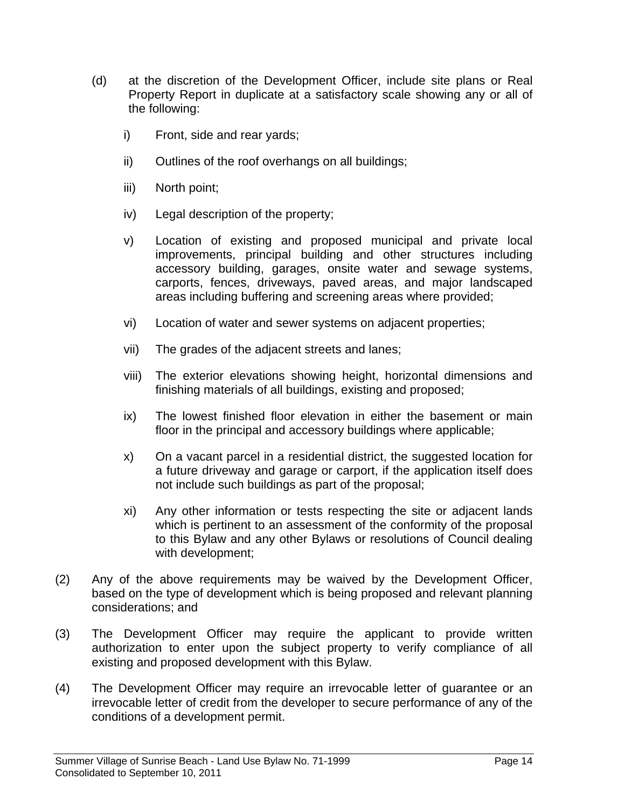- (d) at the discretion of the Development Officer, include site plans or Real Property Report in duplicate at a satisfactory scale showing any or all of the following:
	- i) Front, side and rear yards;
	- ii) Outlines of the roof overhangs on all buildings;
	- iii) North point;
	- iv) Legal description of the property;
	- v) Location of existing and proposed municipal and private local improvements, principal building and other structures including accessory building, garages, onsite water and sewage systems, carports, fences, driveways, paved areas, and major landscaped areas including buffering and screening areas where provided;
	- vi) Location of water and sewer systems on adjacent properties;
	- vii) The grades of the adjacent streets and lanes;
	- viii) The exterior elevations showing height, horizontal dimensions and finishing materials of all buildings, existing and proposed;
	- ix) The lowest finished floor elevation in either the basement or main floor in the principal and accessory buildings where applicable;
	- x) On a vacant parcel in a residential district, the suggested location for a future driveway and garage or carport, if the application itself does not include such buildings as part of the proposal;
	- xi) Any other information or tests respecting the site or adjacent lands which is pertinent to an assessment of the conformity of the proposal to this Bylaw and any other Bylaws or resolutions of Council dealing with development;
- (2) Any of the above requirements may be waived by the Development Officer, based on the type of development which is being proposed and relevant planning considerations; and
- (3) The Development Officer may require the applicant to provide written authorization to enter upon the subject property to verify compliance of all existing and proposed development with this Bylaw.
- (4) The Development Officer may require an irrevocable letter of guarantee or an irrevocable letter of credit from the developer to secure performance of any of the conditions of a development permit.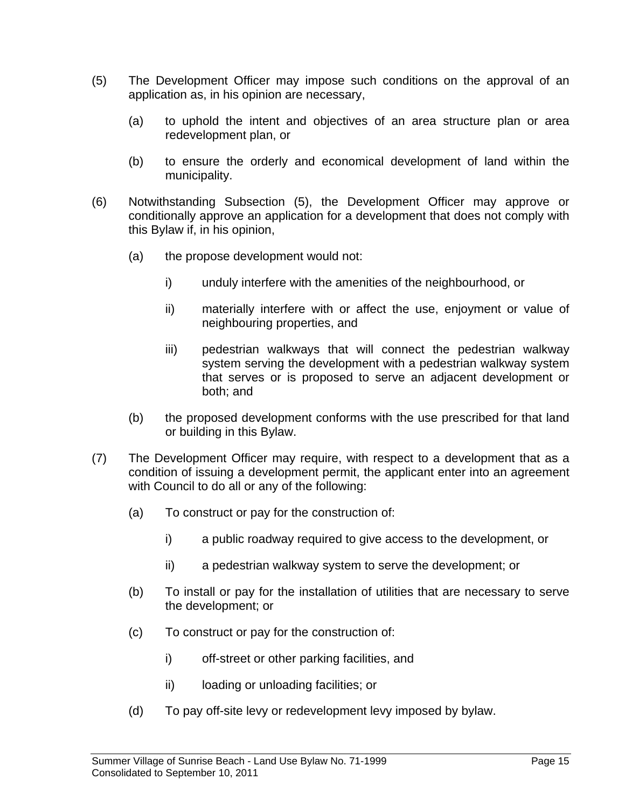- (5) The Development Officer may impose such conditions on the approval of an application as, in his opinion are necessary,
	- (a) to uphold the intent and objectives of an area structure plan or area redevelopment plan, or
	- (b) to ensure the orderly and economical development of land within the municipality.
- (6) Notwithstanding Subsection (5), the Development Officer may approve or conditionally approve an application for a development that does not comply with this Bylaw if, in his opinion,
	- (a) the propose development would not:
		- i) unduly interfere with the amenities of the neighbourhood, or
		- ii) materially interfere with or affect the use, enjoyment or value of neighbouring properties, and
		- iii) pedestrian walkways that will connect the pedestrian walkway system serving the development with a pedestrian walkway system that serves or is proposed to serve an adjacent development or both; and
	- (b) the proposed development conforms with the use prescribed for that land or building in this Bylaw.
- (7) The Development Officer may require, with respect to a development that as a condition of issuing a development permit, the applicant enter into an agreement with Council to do all or any of the following:
	- (a) To construct or pay for the construction of:
		- i) a public roadway required to give access to the development, or
		- ii) a pedestrian walkway system to serve the development; or
	- (b) To install or pay for the installation of utilities that are necessary to serve the development; or
	- (c) To construct or pay for the construction of:
		- i) off-street or other parking facilities, and
		- ii) loading or unloading facilities; or
	- (d) To pay off-site levy or redevelopment levy imposed by bylaw.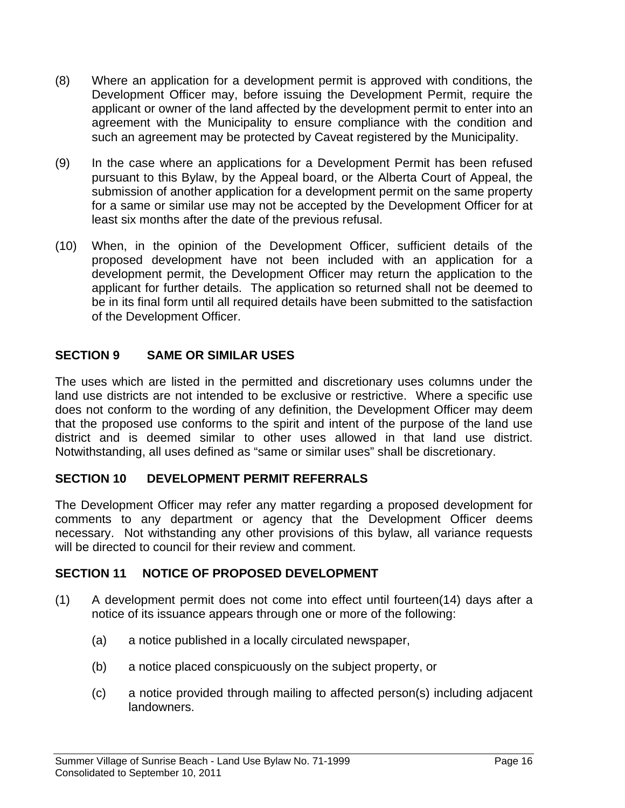- (8) Where an application for a development permit is approved with conditions, the Development Officer may, before issuing the Development Permit, require the applicant or owner of the land affected by the development permit to enter into an agreement with the Municipality to ensure compliance with the condition and such an agreement may be protected by Caveat registered by the Municipality.
- (9) In the case where an applications for a Development Permit has been refused pursuant to this Bylaw, by the Appeal board, or the Alberta Court of Appeal, the submission of another application for a development permit on the same property for a same or similar use may not be accepted by the Development Officer for at least six months after the date of the previous refusal.
- (10) When, in the opinion of the Development Officer, sufficient details of the proposed development have not been included with an application for a development permit, the Development Officer may return the application to the applicant for further details. The application so returned shall not be deemed to be in its final form until all required details have been submitted to the satisfaction of the Development Officer.

#### **SECTION 9 SAME OR SIMILAR USES**

The uses which are listed in the permitted and discretionary uses columns under the land use districts are not intended to be exclusive or restrictive. Where a specific use does not conform to the wording of any definition, the Development Officer may deem that the proposed use conforms to the spirit and intent of the purpose of the land use district and is deemed similar to other uses allowed in that land use district. Notwithstanding, all uses defined as "same or similar uses" shall be discretionary.

#### **SECTION 10 DEVELOPMENT PERMIT REFERRALS**

The Development Officer may refer any matter regarding a proposed development for comments to any department or agency that the Development Officer deems necessary. Not withstanding any other provisions of this bylaw, all variance requests will be directed to council for their review and comment.

#### **SECTION 11 NOTICE OF PROPOSED DEVELOPMENT**

- (1) A development permit does not come into effect until fourteen(14) days after a notice of its issuance appears through one or more of the following:
	- (a) a notice published in a locally circulated newspaper,
	- (b) a notice placed conspicuously on the subject property, or
	- (c) a notice provided through mailing to affected person(s) including adjacent landowners.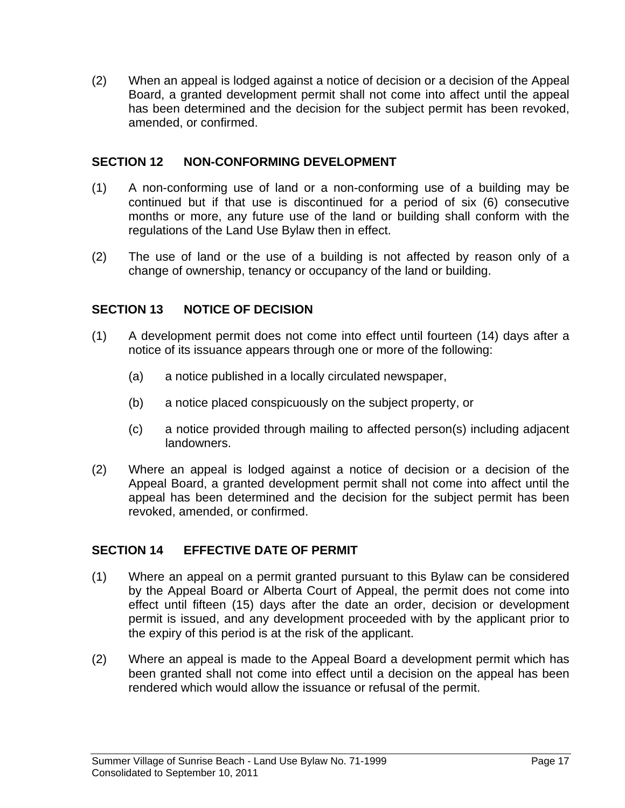(2) When an appeal is lodged against a notice of decision or a decision of the Appeal Board, a granted development permit shall not come into affect until the appeal has been determined and the decision for the subject permit has been revoked, amended, or confirmed.

#### **SECTION 12 NON-CONFORMING DEVELOPMENT**

- (1) A non-conforming use of land or a non-conforming use of a building may be continued but if that use is discontinued for a period of six (6) consecutive months or more, any future use of the land or building shall conform with the regulations of the Land Use Bylaw then in effect.
- (2) The use of land or the use of a building is not affected by reason only of a change of ownership, tenancy or occupancy of the land or building.

#### **SECTION 13 NOTICE OF DECISION**

- (1) A development permit does not come into effect until fourteen (14) days after a notice of its issuance appears through one or more of the following:
	- (a) a notice published in a locally circulated newspaper,
	- (b) a notice placed conspicuously on the subject property, or
	- (c) a notice provided through mailing to affected person(s) including adjacent landowners.
- (2) Where an appeal is lodged against a notice of decision or a decision of the Appeal Board, a granted development permit shall not come into affect until the appeal has been determined and the decision for the subject permit has been revoked, amended, or confirmed.

#### **SECTION 14 EFFECTIVE DATE OF PERMIT**

- (1) Where an appeal on a permit granted pursuant to this Bylaw can be considered by the Appeal Board or Alberta Court of Appeal, the permit does not come into effect until fifteen (15) days after the date an order, decision or development permit is issued, and any development proceeded with by the applicant prior to the expiry of this period is at the risk of the applicant.
- (2) Where an appeal is made to the Appeal Board a development permit which has been granted shall not come into effect until a decision on the appeal has been rendered which would allow the issuance or refusal of the permit.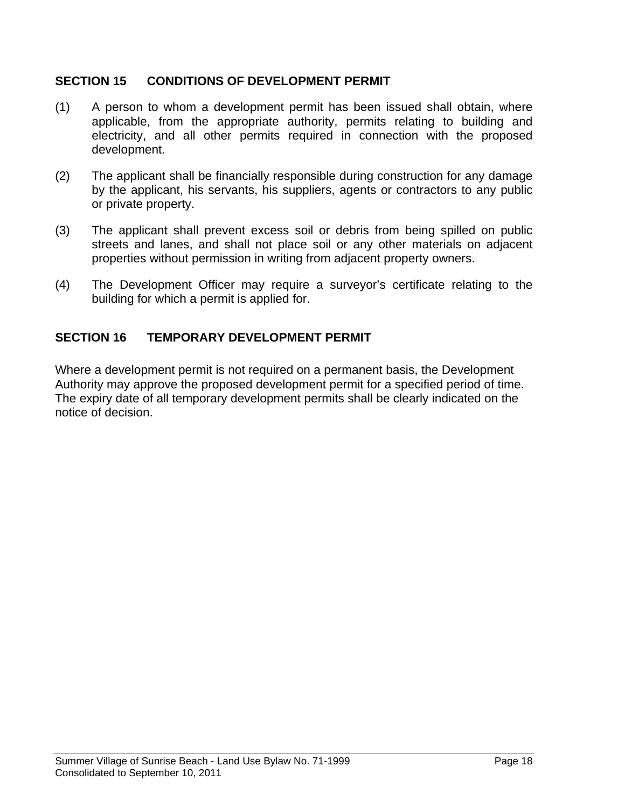#### **SECTION 15 CONDITIONS OF DEVELOPMENT PERMIT**

- (1) A person to whom a development permit has been issued shall obtain, where applicable, from the appropriate authority, permits relating to building and electricity, and all other permits required in connection with the proposed development.
- (2) The applicant shall be financially responsible during construction for any damage by the applicant, his servants, his suppliers, agents or contractors to any public or private property.
- (3) The applicant shall prevent excess soil or debris from being spilled on public streets and lanes, and shall not place soil or any other materials on adjacent properties without permission in writing from adjacent property owners.
- (4) The Development Officer may require a surveyor's certificate relating to the building for which a permit is applied for.

#### **SECTION 16 TEMPORARY DEVELOPMENT PERMIT**

Where a development permit is not required on a permanent basis, the Development Authority may approve the proposed development permit for a specified period of time. The expiry date of all temporary development permits shall be clearly indicated on the notice of decision.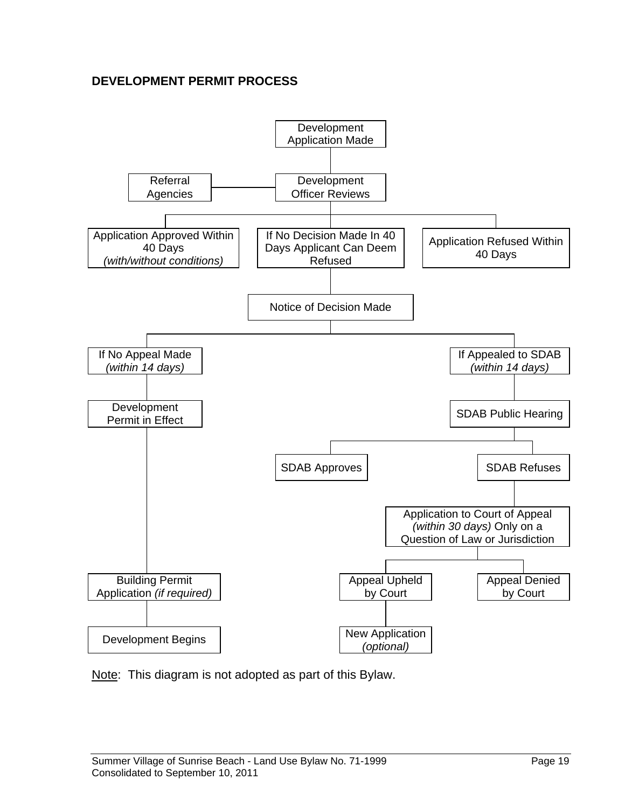#### **DEVELOPMENT PERMIT PROCESS**



Note: This diagram is not adopted as part of this Bylaw.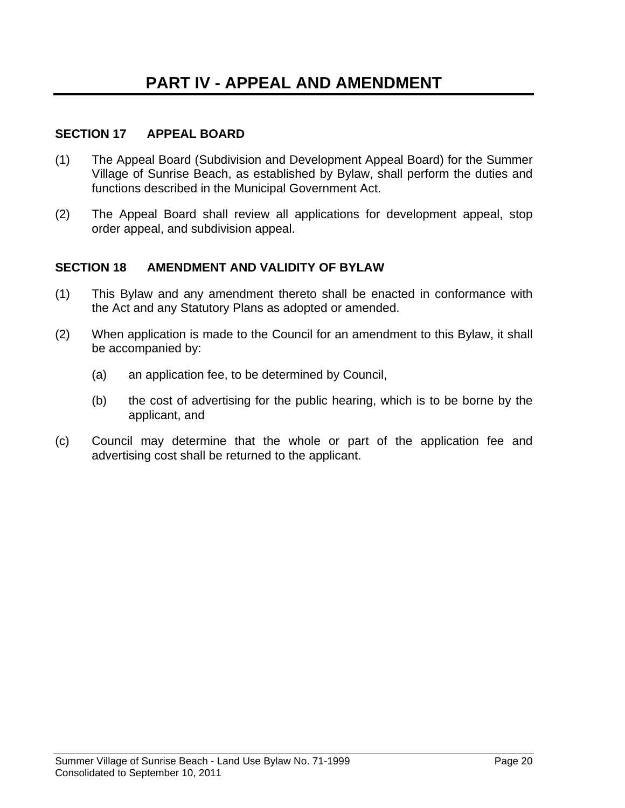#### **SECTION 17 APPEAL BOARD**

- (1) The Appeal Board (Subdivision and Development Appeal Board) for the Summer Village of Sunrise Beach, as established by Bylaw, shall perform the duties and functions described in the Municipal Government Act.
- (2) The Appeal Board shall review all applications for development appeal, stop order appeal, and subdivision appeal.

#### **SECTION 18 AMENDMENT AND VALIDITY OF BYLAW**

- (1) This Bylaw and any amendment thereto shall be enacted in conformance with the Act and any Statutory Plans as adopted or amended.
- (2) When application is made to the Council for an amendment to this Bylaw, it shall be accompanied by:
	- (a) an application fee, to be determined by Council,
	- (b) the cost of advertising for the public hearing, which is to be borne by the applicant, and
- (c) Council may determine that the whole or part of the application fee and advertising cost shall be returned to the applicant.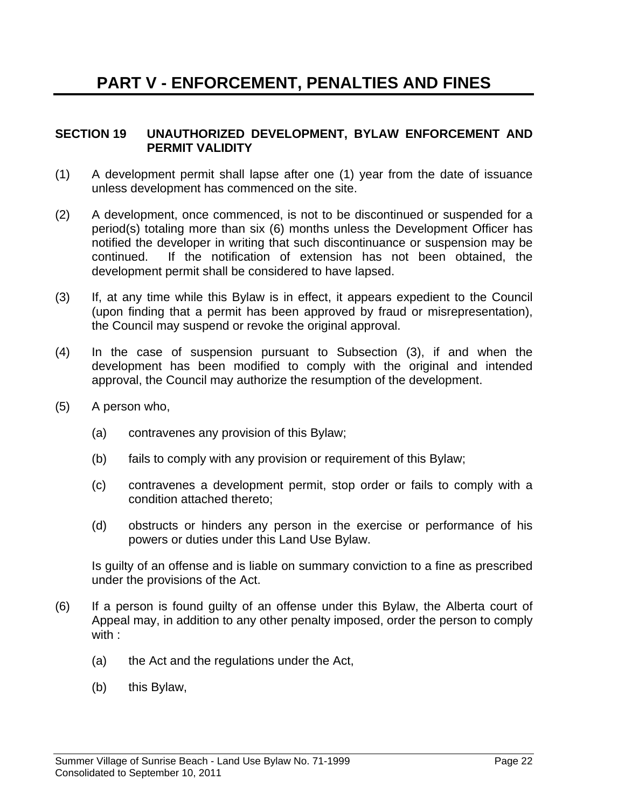#### **SECTION 19 UNAUTHORIZED DEVELOPMENT, BYLAW ENFORCEMENT AND PERMIT VALIDITY**

- (1) A development permit shall lapse after one (1) year from the date of issuance unless development has commenced on the site.
- (2) A development, once commenced, is not to be discontinued or suspended for a period(s) totaling more than six (6) months unless the Development Officer has notified the developer in writing that such discontinuance or suspension may be continued. If the notification of extension has not been obtained, the development permit shall be considered to have lapsed.
- (3) If, at any time while this Bylaw is in effect, it appears expedient to the Council (upon finding that a permit has been approved by fraud or misrepresentation), the Council may suspend or revoke the original approval.
- (4) In the case of suspension pursuant to Subsection (3), if and when the development has been modified to comply with the original and intended approval, the Council may authorize the resumption of the development.
- (5) A person who,
	- (a) contravenes any provision of this Bylaw;
	- (b) fails to comply with any provision or requirement of this Bylaw;
	- (c) contravenes a development permit, stop order or fails to comply with a condition attached thereto;
	- (d) obstructs or hinders any person in the exercise or performance of his powers or duties under this Land Use Bylaw.

 Is guilty of an offense and is liable on summary conviction to a fine as prescribed under the provisions of the Act.

- (6) If a person is found guilty of an offense under this Bylaw, the Alberta court of Appeal may, in addition to any other penalty imposed, order the person to comply with :
	- (a) the Act and the regulations under the Act,
	- (b) this Bylaw,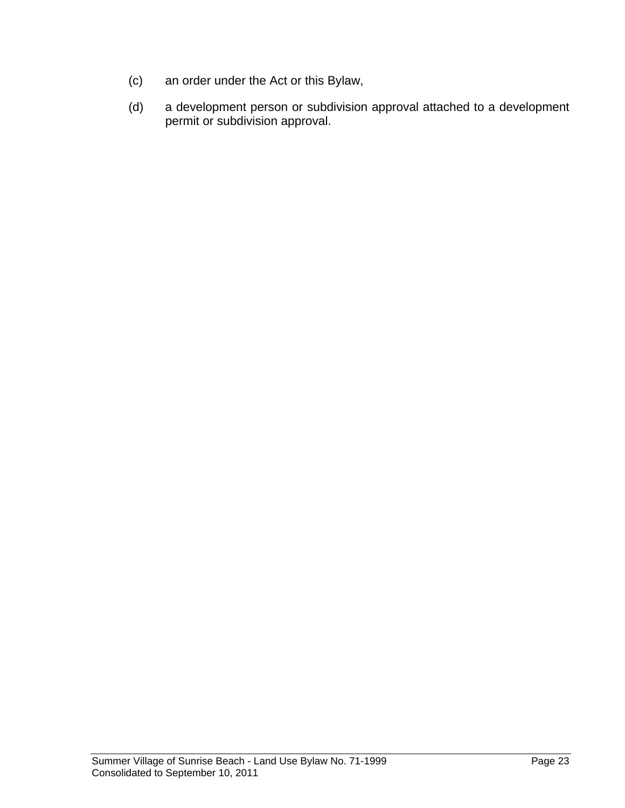- (c) an order under the Act or this Bylaw,
- (d) a development person or subdivision approval attached to a development permit or subdivision approval.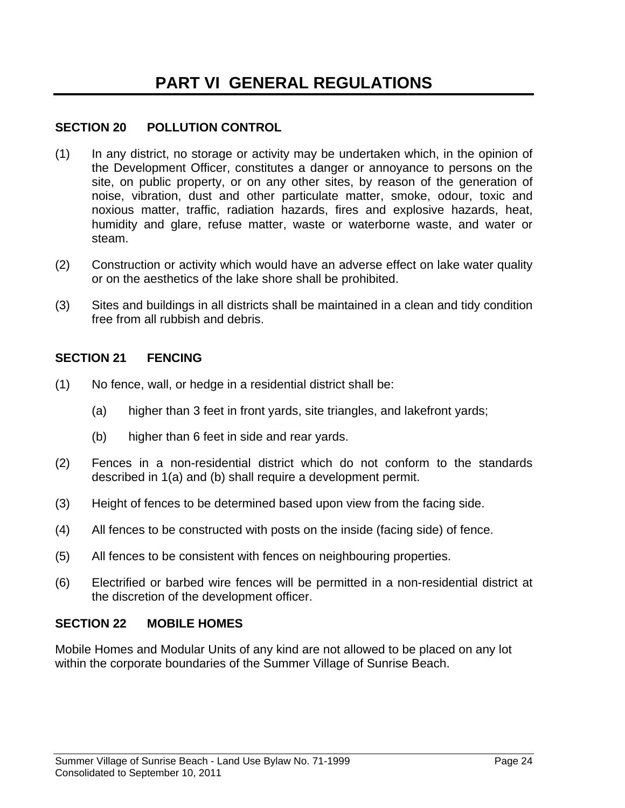#### **SECTION 20 POLLUTION CONTROL**

- (1) In any district, no storage or activity may be undertaken which, in the opinion of the Development Officer, constitutes a danger or annoyance to persons on the site, on public property, or on any other sites, by reason of the generation of noise, vibration, dust and other particulate matter, smoke, odour, toxic and noxious matter, traffic, radiation hazards, fires and explosive hazards, heat, humidity and glare, refuse matter, waste or waterborne waste, and water or steam.
- (2) Construction or activity which would have an adverse effect on lake water quality or on the aesthetics of the lake shore shall be prohibited.
- (3) Sites and buildings in all districts shall be maintained in a clean and tidy condition free from all rubbish and debris.

#### **SECTION 21 FENCING**

- (1) No fence, wall, or hedge in a residential district shall be:
	- (a) higher than 3 feet in front yards, site triangles, and lakefront yards;
	- (b) higher than 6 feet in side and rear yards.
- (2) Fences in a non-residential district which do not conform to the standards described in 1(a) and (b) shall require a development permit.
- (3) Height of fences to be determined based upon view from the facing side.
- (4) All fences to be constructed with posts on the inside (facing side) of fence.
- (5) All fences to be consistent with fences on neighbouring properties.
- (6) Electrified or barbed wire fences will be permitted in a non-residential district at the discretion of the development officer.

#### **SECTION 22 MOBILE HOMES**

Mobile Homes and Modular Units of any kind are not allowed to be placed on any lot within the corporate boundaries of the Summer Village of Sunrise Beach.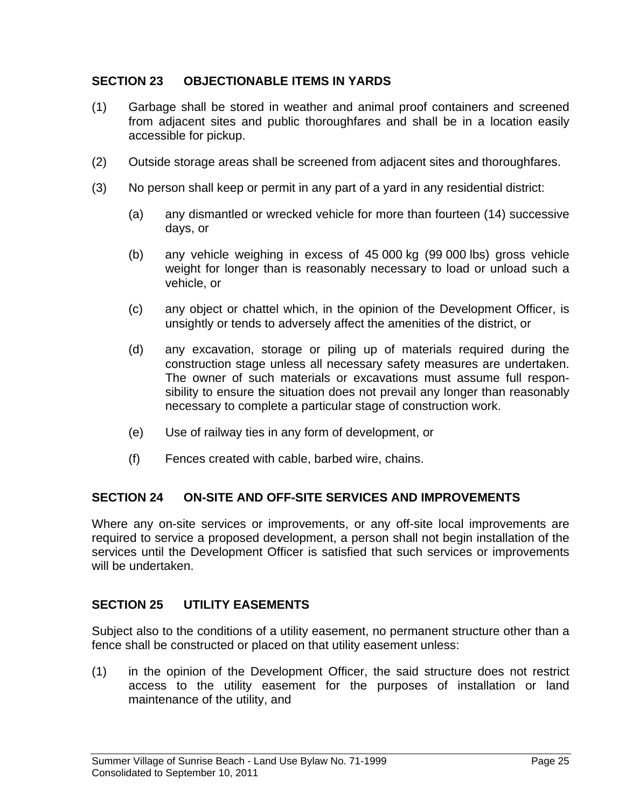#### **SECTION 23 OBJECTIONABLE ITEMS IN YARDS**

- (1) Garbage shall be stored in weather and animal proof containers and screened from adjacent sites and public thoroughfares and shall be in a location easily accessible for pickup.
- (2) Outside storage areas shall be screened from adjacent sites and thoroughfares.
- (3) No person shall keep or permit in any part of a yard in any residential district:
	- (a) any dismantled or wrecked vehicle for more than fourteen (14) successive days, or
	- (b) any vehicle weighing in excess of 45 000 kg (99 000 lbs) gross vehicle weight for longer than is reasonably necessary to load or unload such a vehicle, or
	- (c) any object or chattel which, in the opinion of the Development Officer, is unsightly or tends to adversely affect the amenities of the district, or
	- (d) any excavation, storage or piling up of materials required during the construction stage unless all necessary safety measures are undertaken. The owner of such materials or excavations must assume full responsibility to ensure the situation does not prevail any longer than reasonably necessary to complete a particular stage of construction work.
	- (e) Use of railway ties in any form of development, or
	- (f) Fences created with cable, barbed wire, chains.

#### **SECTION 24 ON-SITE AND OFF-SITE SERVICES AND IMPROVEMENTS**

Where any on-site services or improvements, or any off-site local improvements are required to service a proposed development, a person shall not begin installation of the services until the Development Officer is satisfied that such services or improvements will be undertaken.

#### **SECTION 25 UTILITY EASEMENTS**

Subject also to the conditions of a utility easement, no permanent structure other than a fence shall be constructed or placed on that utility easement unless:

(1) in the opinion of the Development Officer, the said structure does not restrict access to the utility easement for the purposes of installation or land maintenance of the utility, and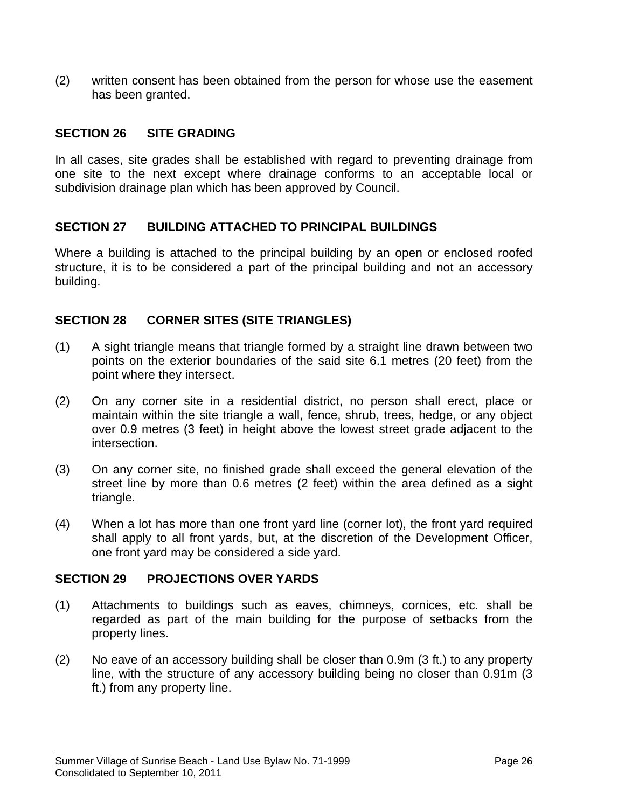(2) written consent has been obtained from the person for whose use the easement has been granted.

#### **SECTION 26 SITE GRADING**

In all cases, site grades shall be established with regard to preventing drainage from one site to the next except where drainage conforms to an acceptable local or subdivision drainage plan which has been approved by Council.

#### **SECTION 27 BUILDING ATTACHED TO PRINCIPAL BUILDINGS**

Where a building is attached to the principal building by an open or enclosed roofed structure, it is to be considered a part of the principal building and not an accessory building.

#### **SECTION 28 CORNER SITES (SITE TRIANGLES)**

- (1) A sight triangle means that triangle formed by a straight line drawn between two points on the exterior boundaries of the said site 6.1 metres (20 feet) from the point where they intersect.
- (2) On any corner site in a residential district, no person shall erect, place or maintain within the site triangle a wall, fence, shrub, trees, hedge, or any object over 0.9 metres (3 feet) in height above the lowest street grade adjacent to the intersection.
- (3) On any corner site, no finished grade shall exceed the general elevation of the street line by more than 0.6 metres (2 feet) within the area defined as a sight triangle.
- (4) When a lot has more than one front yard line (corner lot), the front yard required shall apply to all front yards, but, at the discretion of the Development Officer, one front yard may be considered a side yard.

#### **SECTION 29 PROJECTIONS OVER YARDS**

- (1) Attachments to buildings such as eaves, chimneys, cornices, etc. shall be regarded as part of the main building for the purpose of setbacks from the property lines.
- (2) No eave of an accessory building shall be closer than 0.9m (3 ft.) to any property line, with the structure of any accessory building being no closer than 0.91m (3 ft.) from any property line.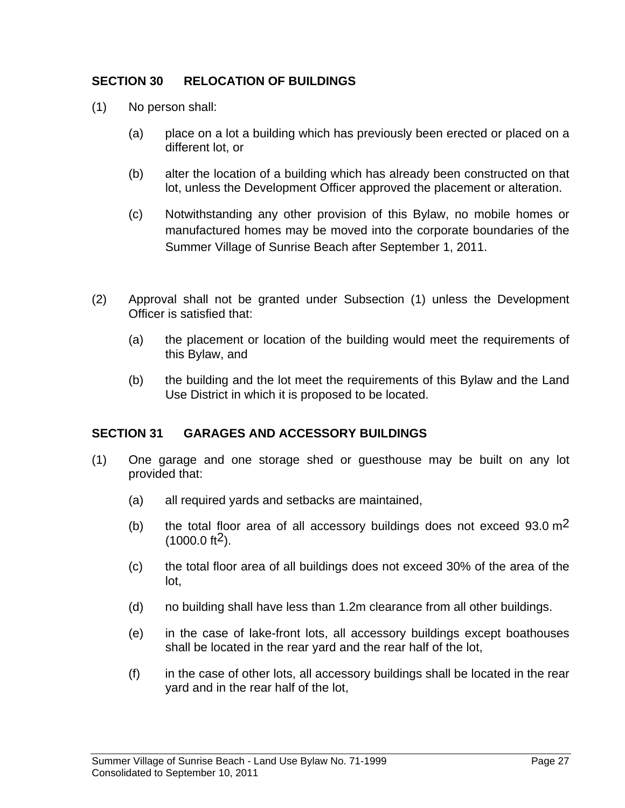#### **SECTION 30 RELOCATION OF BUILDINGS**

- (1) No person shall:
	- (a) place on a lot a building which has previously been erected or placed on a different lot, or
	- (b) alter the location of a building which has already been constructed on that lot, unless the Development Officer approved the placement or alteration.
	- (c) Notwithstanding any other provision of this Bylaw, no mobile homes or manufactured homes may be moved into the corporate boundaries of the Summer Village of Sunrise Beach after September 1, 2011.
- (2) Approval shall not be granted under Subsection (1) unless the Development Officer is satisfied that:
	- (a) the placement or location of the building would meet the requirements of this Bylaw, and
	- (b) the building and the lot meet the requirements of this Bylaw and the Land Use District in which it is proposed to be located.

#### **SECTION 31 GARAGES AND ACCESSORY BUILDINGS**

- (1) One garage and one storage shed or guesthouse may be built on any lot provided that:
	- (a) all required yards and setbacks are maintained,
	- (b) the total floor area of all accessory buildings does not exceed  $93.0 \text{ m}^2$  $(1000.0 \text{ ft}^2)$ .
	- (c) the total floor area of all buildings does not exceed 30% of the area of the lot,
	- (d) no building shall have less than 1.2m clearance from all other buildings.
	- (e) in the case of lake-front lots, all accessory buildings except boathouses shall be located in the rear yard and the rear half of the lot,
	- (f) in the case of other lots, all accessory buildings shall be located in the rear yard and in the rear half of the lot,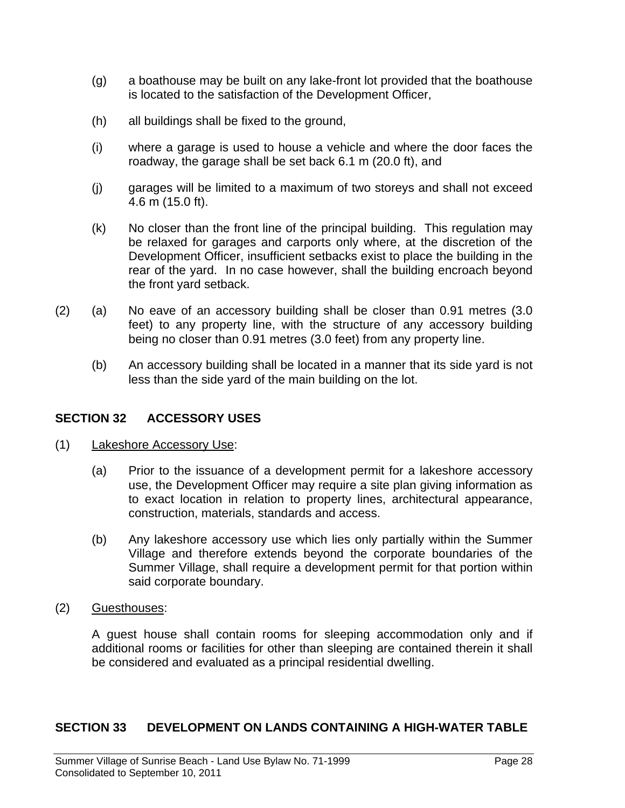- (g) a boathouse may be built on any lake-front lot provided that the boathouse is located to the satisfaction of the Development Officer,
- (h) all buildings shall be fixed to the ground,
- (i) where a garage is used to house a vehicle and where the door faces the roadway, the garage shall be set back 6.1 m (20.0 ft), and
- (j) garages will be limited to a maximum of two storeys and shall not exceed 4.6 m (15.0 ft).
- (k) No closer than the front line of the principal building. This regulation may be relaxed for garages and carports only where, at the discretion of the Development Officer, insufficient setbacks exist to place the building in the rear of the yard. In no case however, shall the building encroach beyond the front yard setback.
- (2) (a) No eave of an accessory building shall be closer than 0.91 metres (3.0 feet) to any property line, with the structure of any accessory building being no closer than 0.91 metres (3.0 feet) from any property line.
	- (b) An accessory building shall be located in a manner that its side yard is not less than the side yard of the main building on the lot.

#### **SECTION 32 ACCESSORY USES**

- (1) Lakeshore Accessory Use:
	- (a) Prior to the issuance of a development permit for a lakeshore accessory use, the Development Officer may require a site plan giving information as to exact location in relation to property lines, architectural appearance, construction, materials, standards and access.
	- (b) Any lakeshore accessory use which lies only partially within the Summer Village and therefore extends beyond the corporate boundaries of the Summer Village, shall require a development permit for that portion within said corporate boundary.
- (2) Guesthouses:

 A guest house shall contain rooms for sleeping accommodation only and if additional rooms or facilities for other than sleeping are contained therein it shall be considered and evaluated as a principal residential dwelling.

#### **SECTION 33 DEVELOPMENT ON LANDS CONTAINING A HIGH-WATER TABLE**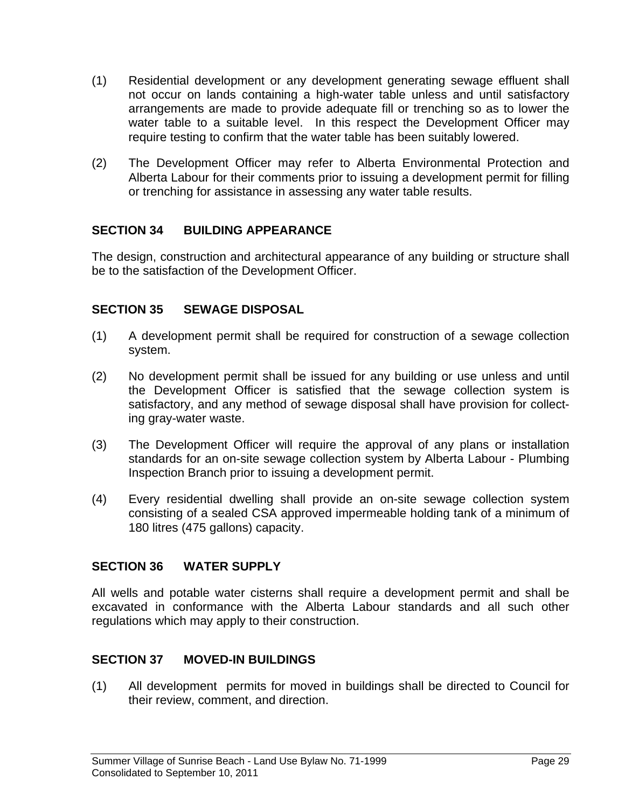- (1) Residential development or any development generating sewage effluent shall not occur on lands containing a high-water table unless and until satisfactory arrangements are made to provide adequate fill or trenching so as to lower the water table to a suitable level. In this respect the Development Officer may require testing to confirm that the water table has been suitably lowered.
- (2) The Development Officer may refer to Alberta Environmental Protection and Alberta Labour for their comments prior to issuing a development permit for filling or trenching for assistance in assessing any water table results.

#### **SECTION 34 BUILDING APPEARANCE**

The design, construction and architectural appearance of any building or structure shall be to the satisfaction of the Development Officer.

#### **SECTION 35 SEWAGE DISPOSAL**

- (1) A development permit shall be required for construction of a sewage collection system.
- (2) No development permit shall be issued for any building or use unless and until the Development Officer is satisfied that the sewage collection system is satisfactory, and any method of sewage disposal shall have provision for collecting gray-water waste.
- (3) The Development Officer will require the approval of any plans or installation standards for an on-site sewage collection system by Alberta Labour - Plumbing Inspection Branch prior to issuing a development permit.
- (4) Every residential dwelling shall provide an on-site sewage collection system consisting of a sealed CSA approved impermeable holding tank of a minimum of 180 litres (475 gallons) capacity.

#### **SECTION 36 WATER SUPPLY**

All wells and potable water cisterns shall require a development permit and shall be excavated in conformance with the Alberta Labour standards and all such other regulations which may apply to their construction.

#### **SECTION 37 MOVED-IN BUILDINGS**

(1) All development permits for moved in buildings shall be directed to Council for their review, comment, and direction.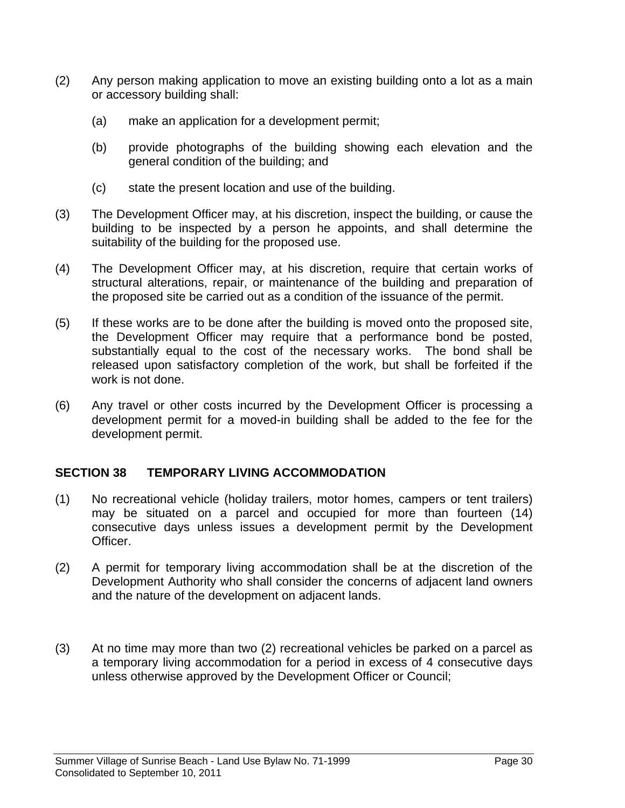- (2) Any person making application to move an existing building onto a lot as a main or accessory building shall:
	- (a) make an application for a development permit;
	- (b) provide photographs of the building showing each elevation and the general condition of the building; and
	- (c) state the present location and use of the building.
- (3) The Development Officer may, at his discretion, inspect the building, or cause the building to be inspected by a person he appoints, and shall determine the suitability of the building for the proposed use.
- (4) The Development Officer may, at his discretion, require that certain works of structural alterations, repair, or maintenance of the building and preparation of the proposed site be carried out as a condition of the issuance of the permit.
- (5) If these works are to be done after the building is moved onto the proposed site, the Development Officer may require that a performance bond be posted, substantially equal to the cost of the necessary works. The bond shall be released upon satisfactory completion of the work, but shall be forfeited if the work is not done.
- (6) Any travel or other costs incurred by the Development Officer is processing a development permit for a moved-in building shall be added to the fee for the development permit.

#### **SECTION 38 TEMPORARY LIVING ACCOMMODATION**

- (1) No recreational vehicle (holiday trailers, motor homes, campers or tent trailers) may be situated on a parcel and occupied for more than fourteen (14) consecutive days unless issues a development permit by the Development Officer.
- (2) A permit for temporary living accommodation shall be at the discretion of the Development Authority who shall consider the concerns of adjacent land owners and the nature of the development on adjacent lands.
- (3) At no time may more than two (2) recreational vehicles be parked on a parcel as a temporary living accommodation for a period in excess of 4 consecutive days unless otherwise approved by the Development Officer or Council;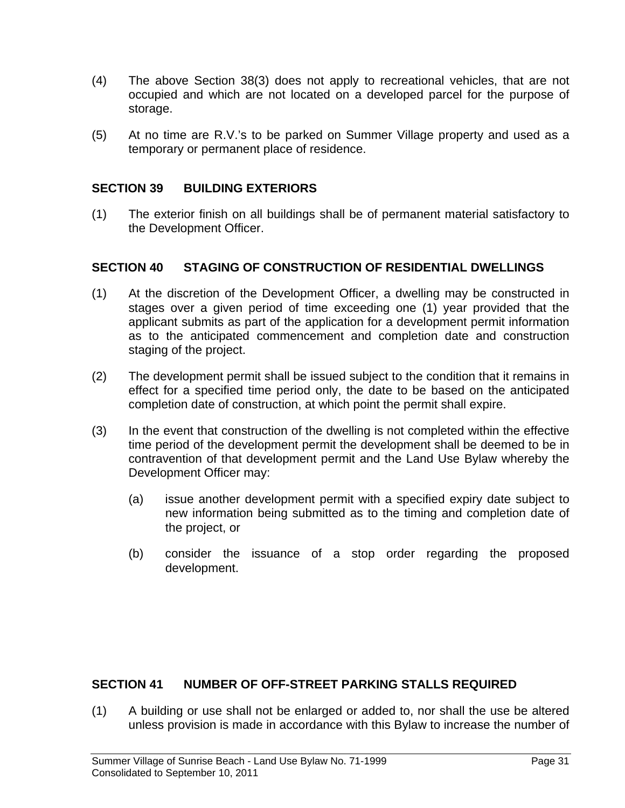- (4) The above Section 38(3) does not apply to recreational vehicles, that are not occupied and which are not located on a developed parcel for the purpose of storage.
- (5) At no time are R.V.'s to be parked on Summer Village property and used as a temporary or permanent place of residence.

#### **SECTION 39 BUILDING EXTERIORS**

(1) The exterior finish on all buildings shall be of permanent material satisfactory to the Development Officer.

#### **SECTION 40 STAGING OF CONSTRUCTION OF RESIDENTIAL DWELLINGS**

- (1) At the discretion of the Development Officer, a dwelling may be constructed in stages over a given period of time exceeding one (1) year provided that the applicant submits as part of the application for a development permit information as to the anticipated commencement and completion date and construction staging of the project.
- (2) The development permit shall be issued subject to the condition that it remains in effect for a specified time period only, the date to be based on the anticipated completion date of construction, at which point the permit shall expire.
- (3) In the event that construction of the dwelling is not completed within the effective time period of the development permit the development shall be deemed to be in contravention of that development permit and the Land Use Bylaw whereby the Development Officer may:
	- (a) issue another development permit with a specified expiry date subject to new information being submitted as to the timing and completion date of the project, or
	- (b) consider the issuance of a stop order regarding the proposed development.

#### **SECTION 41 NUMBER OF OFF-STREET PARKING STALLS REQUIRED**

(1) A building or use shall not be enlarged or added to, nor shall the use be altered unless provision is made in accordance with this Bylaw to increase the number of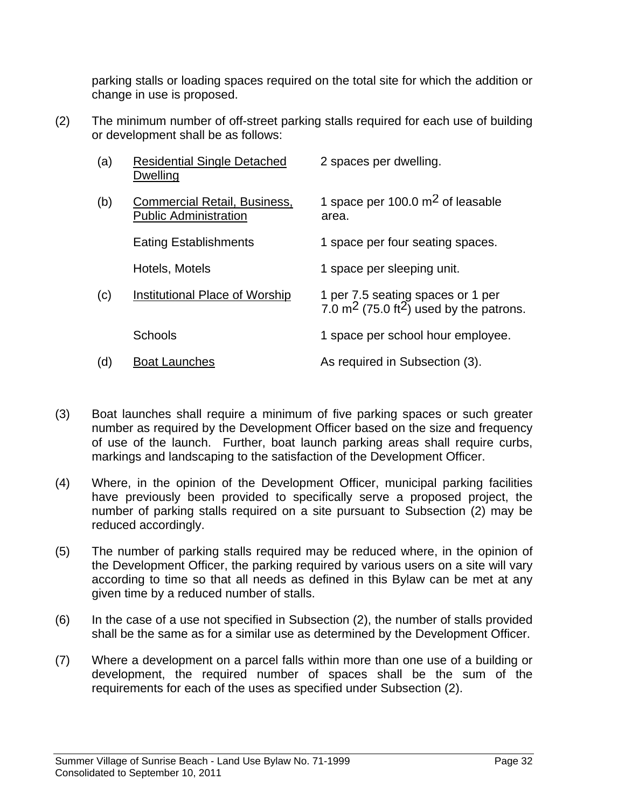parking stalls or loading spaces required on the total site for which the addition or change in use is proposed.

(2) The minimum number of off-street parking stalls required for each use of building or development shall be as follows:

| (a) | <b>Residential Single Detached</b><br>Dwelling                      | 2 spaces per dwelling.                                                                               |
|-----|---------------------------------------------------------------------|------------------------------------------------------------------------------------------------------|
| (b) | <b>Commercial Retail, Business,</b><br><b>Public Administration</b> | 1 space per 100.0 $m2$ of leasable<br>area.                                                          |
|     | <b>Eating Establishments</b>                                        | 1 space per four seating spaces.                                                                     |
|     | Hotels, Motels                                                      | 1 space per sleeping unit.                                                                           |
| (c) | Institutional Place of Worship                                      | 1 per 7.5 seating spaces or 1 per<br>7.0 m <sup>2</sup> (75.0 ft <sup>2</sup> ) used by the patrons. |
|     | <b>Schools</b>                                                      | 1 space per school hour employee.                                                                    |
| (d) | <b>Boat Launches</b>                                                | As required in Subsection (3).                                                                       |

- (3) Boat launches shall require a minimum of five parking spaces or such greater number as required by the Development Officer based on the size and frequency of use of the launch. Further, boat launch parking areas shall require curbs, markings and landscaping to the satisfaction of the Development Officer.
- (4) Where, in the opinion of the Development Officer, municipal parking facilities have previously been provided to specifically serve a proposed project, the number of parking stalls required on a site pursuant to Subsection (2) may be reduced accordingly.
- (5) The number of parking stalls required may be reduced where, in the opinion of the Development Officer, the parking required by various users on a site will vary according to time so that all needs as defined in this Bylaw can be met at any given time by a reduced number of stalls.
- (6) In the case of a use not specified in Subsection (2), the number of stalls provided shall be the same as for a similar use as determined by the Development Officer.
- (7) Where a development on a parcel falls within more than one use of a building or development, the required number of spaces shall be the sum of the requirements for each of the uses as specified under Subsection (2).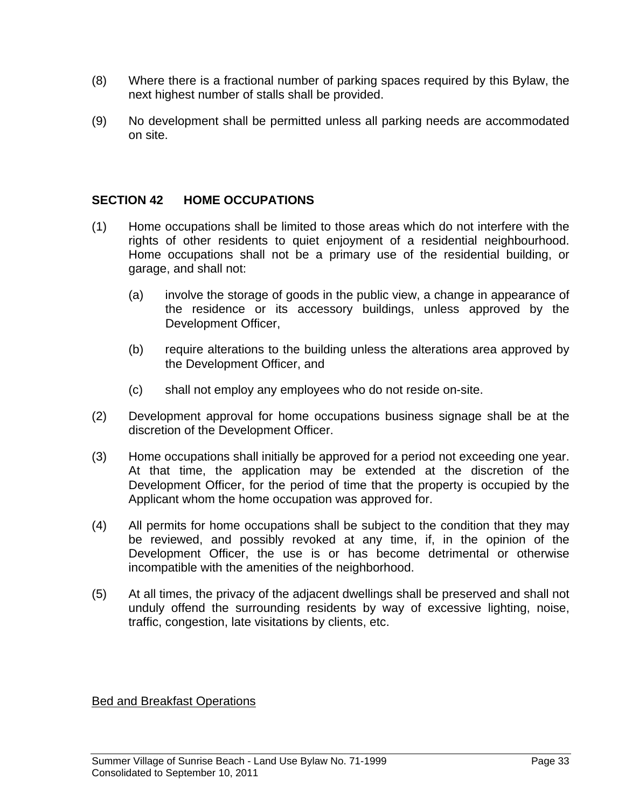- (8) Where there is a fractional number of parking spaces required by this Bylaw, the next highest number of stalls shall be provided.
- (9) No development shall be permitted unless all parking needs are accommodated on site.

#### **SECTION 42 HOME OCCUPATIONS**

- (1) Home occupations shall be limited to those areas which do not interfere with the rights of other residents to quiet enjoyment of a residential neighbourhood. Home occupations shall not be a primary use of the residential building, or garage, and shall not:
	- (a) involve the storage of goods in the public view, a change in appearance of the residence or its accessory buildings, unless approved by the Development Officer,
	- (b) require alterations to the building unless the alterations area approved by the Development Officer, and
	- (c) shall not employ any employees who do not reside on-site.
- (2) Development approval for home occupations business signage shall be at the discretion of the Development Officer.
- (3) Home occupations shall initially be approved for a period not exceeding one year. At that time, the application may be extended at the discretion of the Development Officer, for the period of time that the property is occupied by the Applicant whom the home occupation was approved for.
- (4) All permits for home occupations shall be subject to the condition that they may be reviewed, and possibly revoked at any time, if, in the opinion of the Development Officer, the use is or has become detrimental or otherwise incompatible with the amenities of the neighborhood.
- (5) At all times, the privacy of the adjacent dwellings shall be preserved and shall not unduly offend the surrounding residents by way of excessive lighting, noise, traffic, congestion, late visitations by clients, etc.

Bed and Breakfast Operations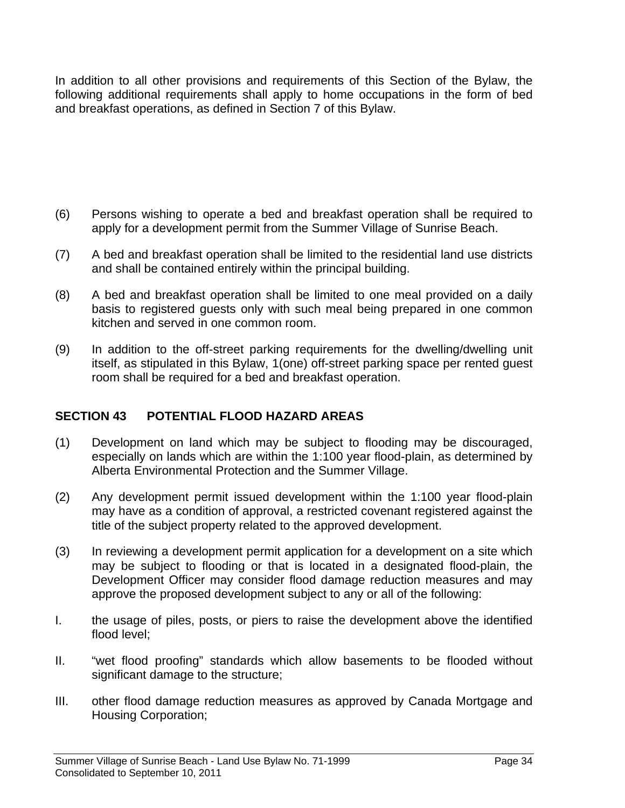In addition to all other provisions and requirements of this Section of the Bylaw, the following additional requirements shall apply to home occupations in the form of bed and breakfast operations, as defined in Section 7 of this Bylaw.

- (6) Persons wishing to operate a bed and breakfast operation shall be required to apply for a development permit from the Summer Village of Sunrise Beach.
- (7) A bed and breakfast operation shall be limited to the residential land use districts and shall be contained entirely within the principal building.
- (8) A bed and breakfast operation shall be limited to one meal provided on a daily basis to registered guests only with such meal being prepared in one common kitchen and served in one common room.
- (9) In addition to the off-street parking requirements for the dwelling/dwelling unit itself, as stipulated in this Bylaw, 1(one) off-street parking space per rented guest room shall be required for a bed and breakfast operation.

#### **SECTION 43 POTENTIAL FLOOD HAZARD AREAS**

- (1) Development on land which may be subject to flooding may be discouraged, especially on lands which are within the 1:100 year flood-plain, as determined by Alberta Environmental Protection and the Summer Village.
- (2) Any development permit issued development within the 1:100 year flood-plain may have as a condition of approval, a restricted covenant registered against the title of the subject property related to the approved development.
- (3) In reviewing a development permit application for a development on a site which may be subject to flooding or that is located in a designated flood-plain, the Development Officer may consider flood damage reduction measures and may approve the proposed development subject to any or all of the following:
- I. the usage of piles, posts, or piers to raise the development above the identified flood level;
- II. "wet flood proofing" standards which allow basements to be flooded without significant damage to the structure;
- III. other flood damage reduction measures as approved by Canada Mortgage and Housing Corporation;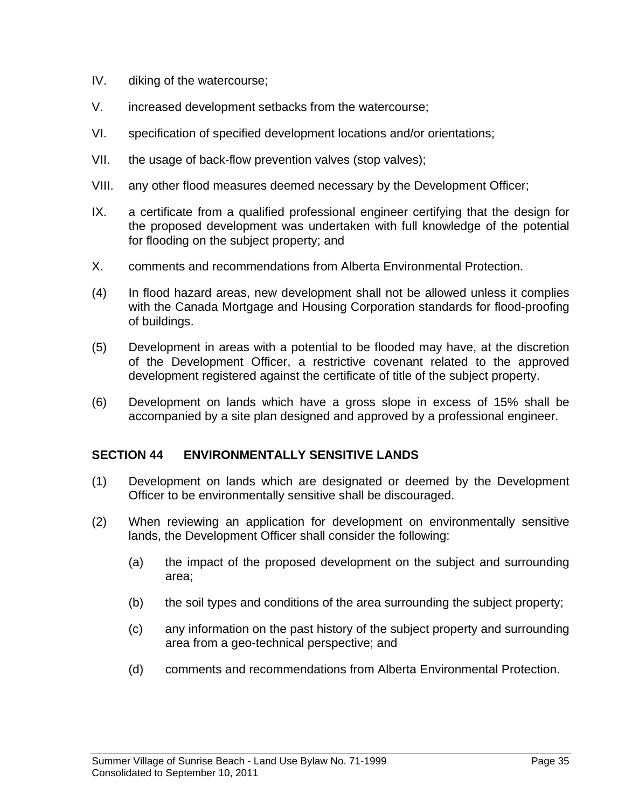- IV. diking of the watercourse;
- V. increased development setbacks from the watercourse;
- VI. specification of specified development locations and/or orientations;
- VII. the usage of back-flow prevention valves (stop valves);
- VIII. any other flood measures deemed necessary by the Development Officer;
- IX. a certificate from a qualified professional engineer certifying that the design for the proposed development was undertaken with full knowledge of the potential for flooding on the subject property; and
- X. comments and recommendations from Alberta Environmental Protection.
- (4) In flood hazard areas, new development shall not be allowed unless it complies with the Canada Mortgage and Housing Corporation standards for flood-proofing of buildings.
- (5) Development in areas with a potential to be flooded may have, at the discretion of the Development Officer, a restrictive covenant related to the approved development registered against the certificate of title of the subject property.
- (6) Development on lands which have a gross slope in excess of 15% shall be accompanied by a site plan designed and approved by a professional engineer.

#### **SECTION 44 ENVIRONMENTALLY SENSITIVE LANDS**

- (1) Development on lands which are designated or deemed by the Development Officer to be environmentally sensitive shall be discouraged.
- (2) When reviewing an application for development on environmentally sensitive lands, the Development Officer shall consider the following:
	- (a) the impact of the proposed development on the subject and surrounding area;
	- (b) the soil types and conditions of the area surrounding the subject property;
	- (c) any information on the past history of the subject property and surrounding area from a geo-technical perspective; and
	- (d) comments and recommendations from Alberta Environmental Protection.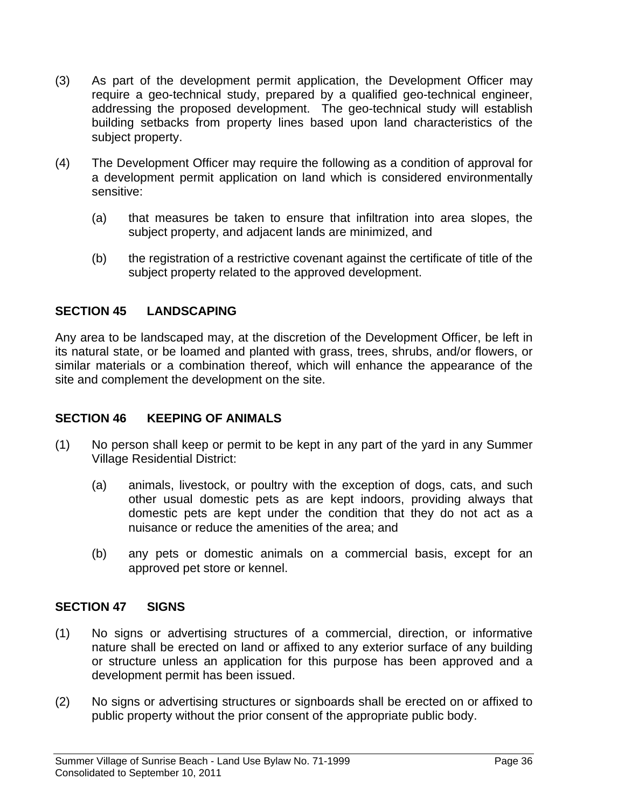- (3) As part of the development permit application, the Development Officer may require a geo-technical study, prepared by a qualified geo-technical engineer, addressing the proposed development. The geo-technical study will establish building setbacks from property lines based upon land characteristics of the subject property.
- (4) The Development Officer may require the following as a condition of approval for a development permit application on land which is considered environmentally sensitive:
	- (a) that measures be taken to ensure that infiltration into area slopes, the subject property, and adjacent lands are minimized, and
	- (b) the registration of a restrictive covenant against the certificate of title of the subject property related to the approved development.

#### **SECTION 45 LANDSCAPING**

Any area to be landscaped may, at the discretion of the Development Officer, be left in its natural state, or be loamed and planted with grass, trees, shrubs, and/or flowers, or similar materials or a combination thereof, which will enhance the appearance of the site and complement the development on the site.

#### **SECTION 46 KEEPING OF ANIMALS**

- (1) No person shall keep or permit to be kept in any part of the yard in any Summer Village Residential District:
	- (a) animals, livestock, or poultry with the exception of dogs, cats, and such other usual domestic pets as are kept indoors, providing always that domestic pets are kept under the condition that they do not act as a nuisance or reduce the amenities of the area; and
	- (b) any pets or domestic animals on a commercial basis, except for an approved pet store or kennel.

#### **SECTION 47 SIGNS**

- (1) No signs or advertising structures of a commercial, direction, or informative nature shall be erected on land or affixed to any exterior surface of any building or structure unless an application for this purpose has been approved and a development permit has been issued.
- (2) No signs or advertising structures or signboards shall be erected on or affixed to public property without the prior consent of the appropriate public body.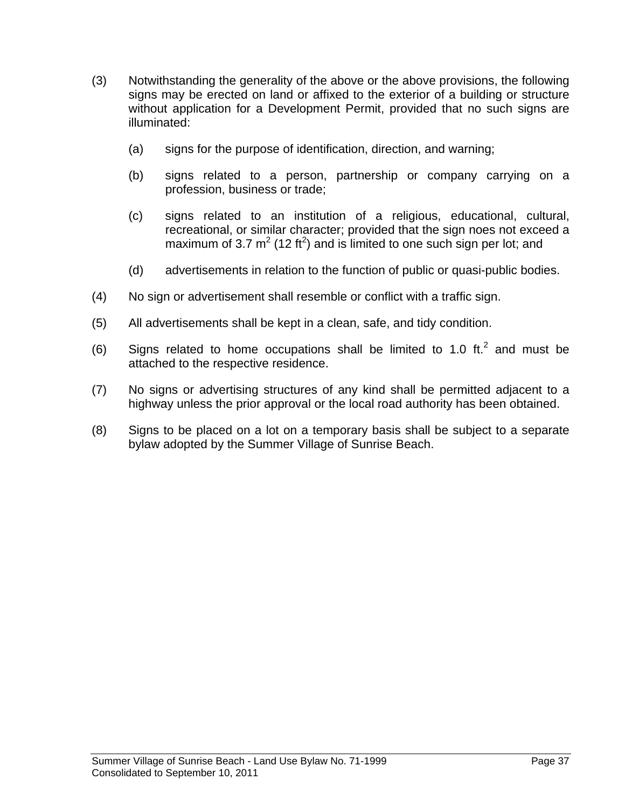- (3) Notwithstanding the generality of the above or the above provisions, the following signs may be erected on land or affixed to the exterior of a building or structure without application for a Development Permit, provided that no such signs are illuminated:
	- (a) signs for the purpose of identification, direction, and warning;
	- (b) signs related to a person, partnership or company carrying on a profession, business or trade;
	- (c) signs related to an institution of a religious, educational, cultural, recreational, or similar character; provided that the sign noes not exceed a maximum of 3.7  $m^2$  (12 ft<sup>2</sup>) and is limited to one such sign per lot; and
	- (d) advertisements in relation to the function of public or quasi-public bodies.
- (4) No sign or advertisement shall resemble or conflict with a traffic sign.
- (5) All advertisements shall be kept in a clean, safe, and tidy condition.
- (6) Signs related to home occupations shall be limited to 1.0 ft.<sup>2</sup> and must be attached to the respective residence.
- (7) No signs or advertising structures of any kind shall be permitted adjacent to a highway unless the prior approval or the local road authority has been obtained.
- (8) Signs to be placed on a lot on a temporary basis shall be subject to a separate bylaw adopted by the Summer Village of Sunrise Beach.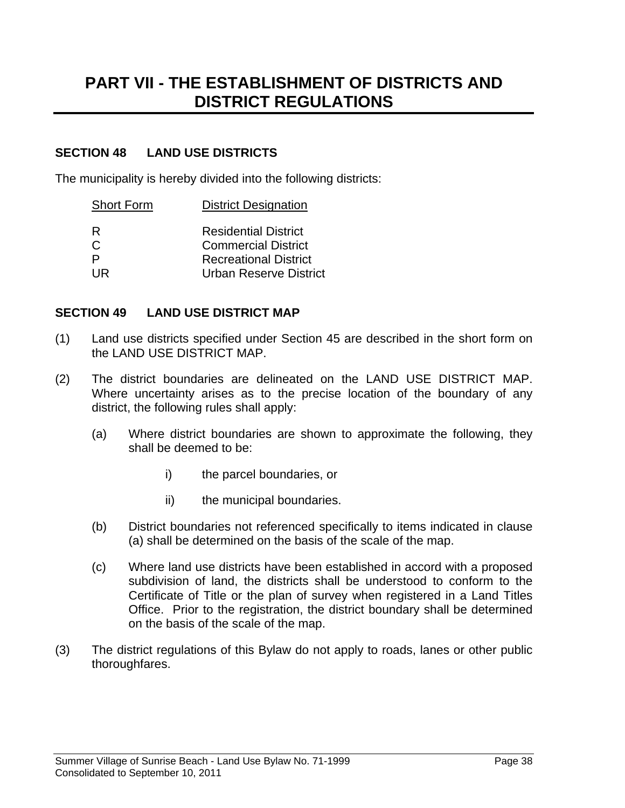## **PART VII - THE ESTABLISHMENT OF DISTRICTS AND DISTRICT REGULATIONS**

#### **SECTION 48 LAND USE DISTRICTS**

The municipality is hereby divided into the following districts:

| <b>District Designation</b>   |
|-------------------------------|
| <b>Residential District</b>   |
| <b>Commercial District</b>    |
| <b>Recreational District</b>  |
| <b>Urban Reserve District</b> |
|                               |

#### **SECTION 49 LAND USE DISTRICT MAP**

- (1) Land use districts specified under Section 45 are described in the short form on the LAND USE DISTRICT MAP.
- (2) The district boundaries are delineated on the LAND USE DISTRICT MAP. Where uncertainty arises as to the precise location of the boundary of any district, the following rules shall apply:
	- (a) Where district boundaries are shown to approximate the following, they shall be deemed to be:
		- i) the parcel boundaries, or
		- ii) the municipal boundaries.
	- (b) District boundaries not referenced specifically to items indicated in clause (a) shall be determined on the basis of the scale of the map.
	- (c) Where land use districts have been established in accord with a proposed subdivision of land, the districts shall be understood to conform to the Certificate of Title or the plan of survey when registered in a Land Titles Office. Prior to the registration, the district boundary shall be determined on the basis of the scale of the map.
- (3) The district regulations of this Bylaw do not apply to roads, lanes or other public thoroughfares.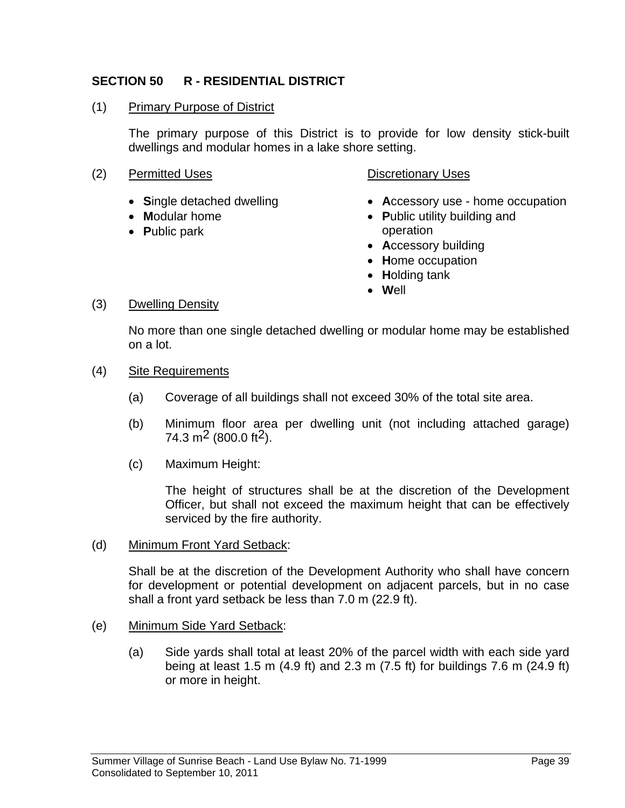#### **SECTION 50 R - RESIDENTIAL DISTRICT**

#### (1) Primary Purpose of District

 The primary purpose of this District is to provide for low density stick-built dwellings and modular homes in a lake shore setting.

- (2) Permitted Uses Contract Contract Contract Point Discretionary Uses
	- **S**ingle detached dwelling
	- **M**odular home
	- **P**ublic park

- **A**ccessory use home occupation
- **P**ublic utility building and operation
- **A**ccessory building
- **H**ome occupation
- **H**olding tank
- **W**ell

#### (3) Dwelling Density

No more than one single detached dwelling or modular home may be established on a lot.

- (4) Site Requirements
	- (a) Coverage of all buildings shall not exceed 30% of the total site area.
	- (b) Minimum floor area per dwelling unit (not including attached garage) 74.3 m<sup>2</sup> (800.0 ft<sup>2</sup>).
	- (c) Maximum Height:

 The height of structures shall be at the discretion of the Development Officer, but shall not exceed the maximum height that can be effectively serviced by the fire authority.

#### (d) Minimum Front Yard Setback:

Shall be at the discretion of the Development Authority who shall have concern for development or potential development on adjacent parcels, but in no case shall a front yard setback be less than 7.0 m (22.9 ft).

- (e) Minimum Side Yard Setback:
	- (a) Side yards shall total at least 20% of the parcel width with each side yard being at least 1.5 m (4.9 ft) and 2.3 m (7.5 ft) for buildings 7.6 m (24.9 ft) or more in height.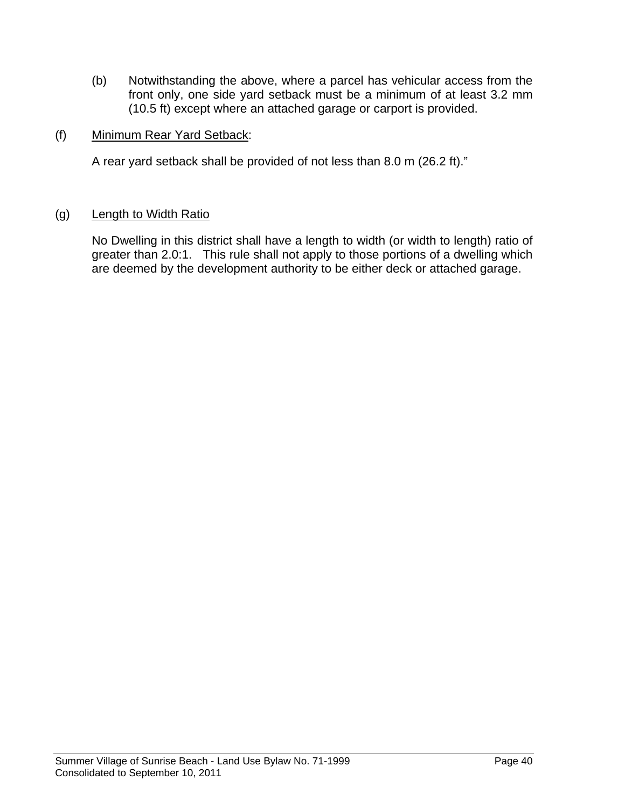- (b) Notwithstanding the above, where a parcel has vehicular access from the front only, one side yard setback must be a minimum of at least 3.2 mm (10.5 ft) except where an attached garage or carport is provided.
- (f) Minimum Rear Yard Setback:

A rear yard setback shall be provided of not less than 8.0 m (26.2 ft)."

#### (g) Length to Width Ratio

No Dwelling in this district shall have a length to width (or width to length) ratio of greater than 2.0:1. This rule shall not apply to those portions of a dwelling which are deemed by the development authority to be either deck or attached garage.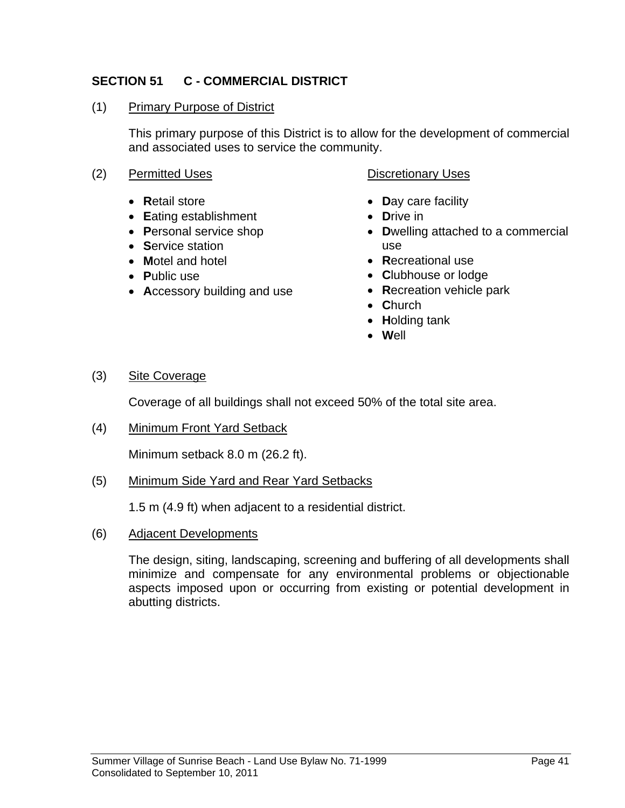#### **SECTION 51 C - COMMERCIAL DISTRICT**

#### (1) Primary Purpose of District

 This primary purpose of this District is to allow for the development of commercial and associated uses to service the community.

- (2) Permitted Uses Contract Contract Discretionary Uses
	- **R**etail store
	- **E**ating establishment
	- **P**ersonal service shop
	- **S**ervice station
	- **M**otel and hotel
	- **P**ublic use
	- **A**ccessory building and use

- **D**ay care facility
- **D**rive in
- **D**welling attached to a commercial use
- **R**ecreational use
- **C**lubhouse or lodge
- **R**ecreation vehicle park
- **C**hurch
- **H**olding tank
- **W**ell

(3) Site Coverage

Coverage of all buildings shall not exceed 50% of the total site area.

(4) Minimum Front Yard Setback

Minimum setback 8.0 m (26.2 ft).

(5) Minimum Side Yard and Rear Yard Setbacks

1.5 m (4.9 ft) when adjacent to a residential district.

(6) Adjacent Developments

 The design, siting, landscaping, screening and buffering of all developments shall minimize and compensate for any environmental problems or objectionable aspects imposed upon or occurring from existing or potential development in abutting districts.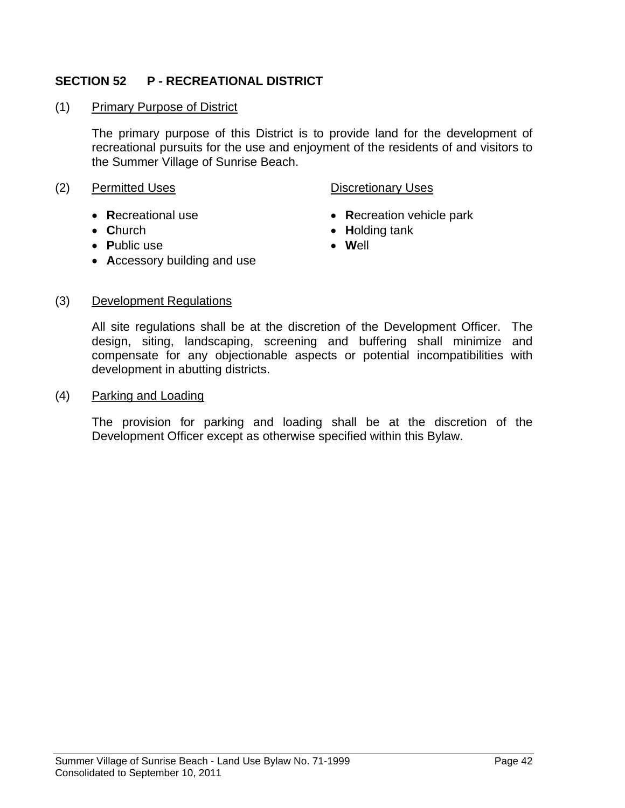#### **SECTION 52 P - RECREATIONAL DISTRICT**

(1) Primary Purpose of District

 The primary purpose of this District is to provide land for the development of recreational pursuits for the use and enjoyment of the residents of and visitors to the Summer Village of Sunrise Beach.

#### (2) Permitted Uses **Discretionary Uses**

- **R**ecreational use
- **C**hurch
- **P**ublic use

- **R**ecreation vehicle park
- **H**olding tank
- **W**ell
- **A**ccessory building and use

#### (3) Development Regulations

 All site regulations shall be at the discretion of the Development Officer. The design, siting, landscaping, screening and buffering shall minimize and compensate for any objectionable aspects or potential incompatibilities with development in abutting districts.

#### (4) Parking and Loading

 The provision for parking and loading shall be at the discretion of the Development Officer except as otherwise specified within this Bylaw.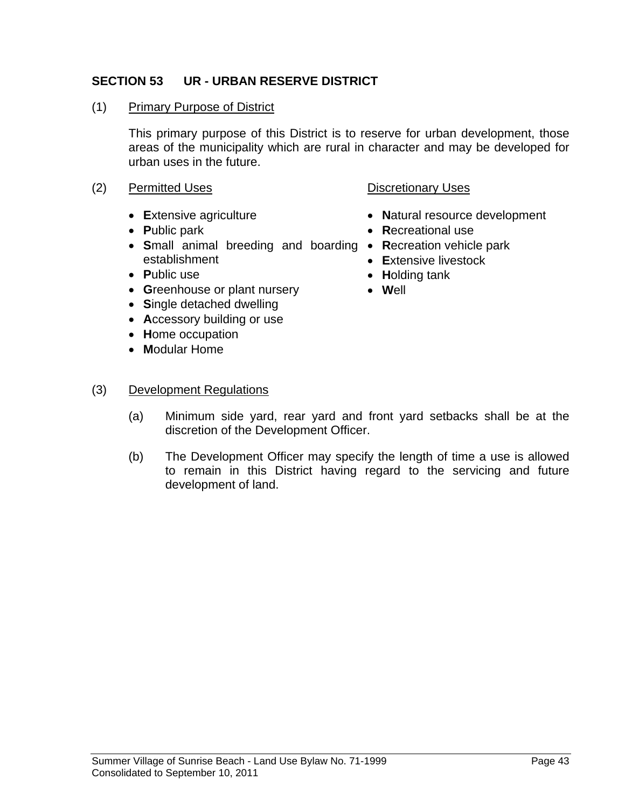#### **SECTION 53 UR - URBAN RESERVE DISTRICT**

#### (1) Primary Purpose of District

 This primary purpose of this District is to reserve for urban development, those areas of the municipality which are rural in character and may be developed for urban uses in the future.

#### (2) Permitted Uses **Discretionary Uses**

- **E**xtensive agriculture
- **P**ublic park
- **S**mall animal breeding and boarding **R**ecreation vehicle park establishment
- **P**ublic use
- **G**reenhouse or plant nursery
- **S**ingle detached dwelling
- **A**ccessory building or use
- **H**ome occupation
- **M**odular Home

#### (3) Development Regulations

- (a) Minimum side yard, rear yard and front yard setbacks shall be at the discretion of the Development Officer.
- (b) The Development Officer may specify the length of time a use is allowed to remain in this District having regard to the servicing and future development of land.

- **N**atural resource development
- **R**ecreational use
- 
- **E**xtensive livestock
- **H**olding tank
- **W**ell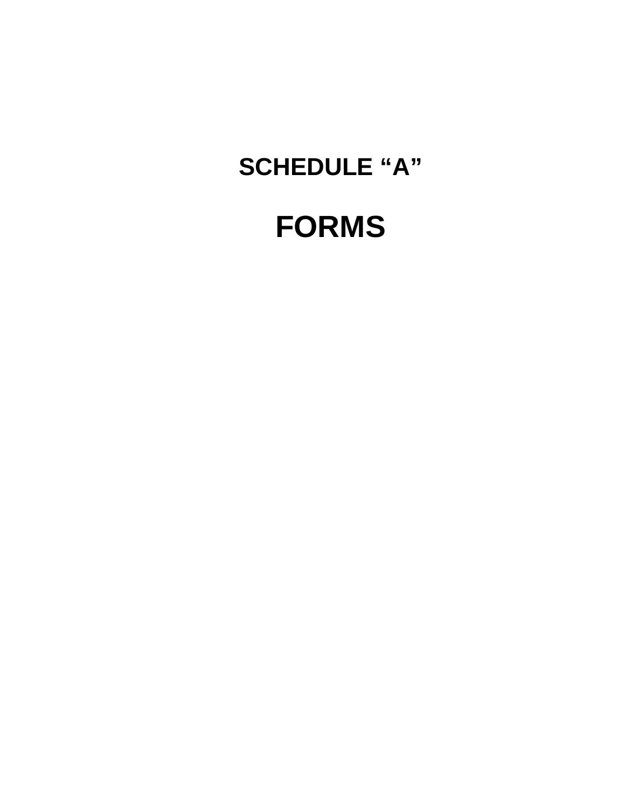# **FORMS**

## **SCHEDULE "A"**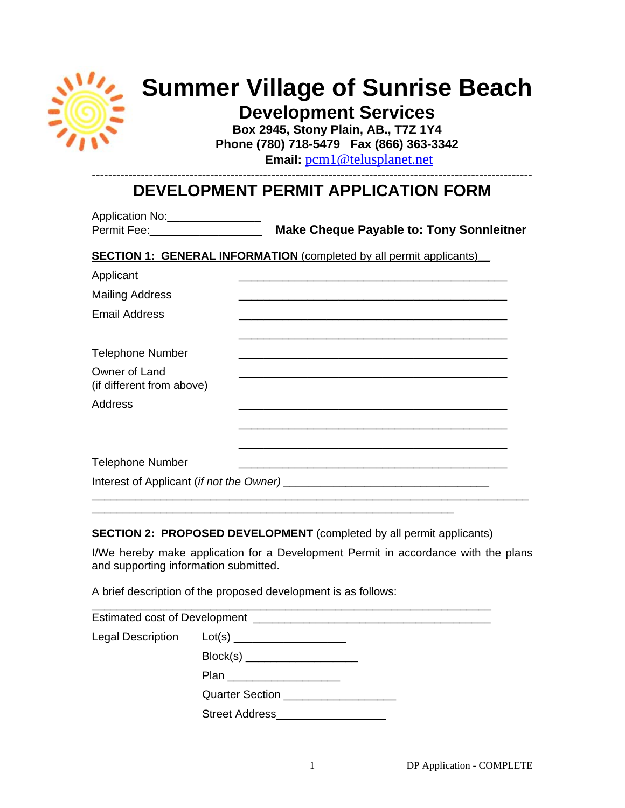

## **Summer Village of Sunrise Beach**

**Development Services Box 2945, Stony Plain, AB., T7Z 1Y4** 

**Phone (780) 718-5479 Fax (866) 363-3342** 

 **Email:** pcm1@telusplanet.net

#### ------------------------------------------------------------------------------------------------------------ **DEVELOPMENT PERMIT APPLICATION FORM**

| Application No:<br>Permit Fee: ______________________ | <b>Make Cheque Payable to: Tony Sonnleitner</b>                            |
|-------------------------------------------------------|----------------------------------------------------------------------------|
|                                                       | <b>SECTION 1: GENERAL INFORMATION</b> (completed by all permit applicants) |
| Applicant                                             |                                                                            |
| <b>Mailing Address</b>                                |                                                                            |
| Email Address                                         |                                                                            |
| <b>Telephone Number</b>                               |                                                                            |
| Owner of Land<br>(if different from above)            |                                                                            |
| Address                                               | <u> 1980 - Johann John Stone, mars eta biztanleria (h. 1980).</u>          |
|                                                       |                                                                            |
| <b>Telephone Number</b>                               |                                                                            |
|                                                       |                                                                            |

#### **SECTION 2: PROPOSED DEVELOPMENT** (completed by all permit applicants)

\_\_\_\_\_\_\_\_\_\_\_\_\_\_\_\_\_\_\_\_\_\_\_\_\_\_\_\_\_\_\_\_\_\_\_\_\_\_\_\_\_\_\_\_\_\_\_\_\_\_\_\_\_\_\_\_\_\_

I/We hereby make application for a Development Permit in accordance with the plans and supporting information submitted.

A brief description of the proposed development is as follows:

| <b>Legal Description</b> |                                                                                                                                                                                                                                      |  |  |
|--------------------------|--------------------------------------------------------------------------------------------------------------------------------------------------------------------------------------------------------------------------------------|--|--|
|                          |                                                                                                                                                                                                                                      |  |  |
|                          | Plan ____________________                                                                                                                                                                                                            |  |  |
|                          | Quarter Section <b>Contract Contract Contract Contract Contract Contract Contract Contract Contract Contract Contract Contract Contract Contract Contract Contract Contract Contract Contract Contract Contract Contract Contrac</b> |  |  |
|                          | <b>Street Address</b>                                                                                                                                                                                                                |  |  |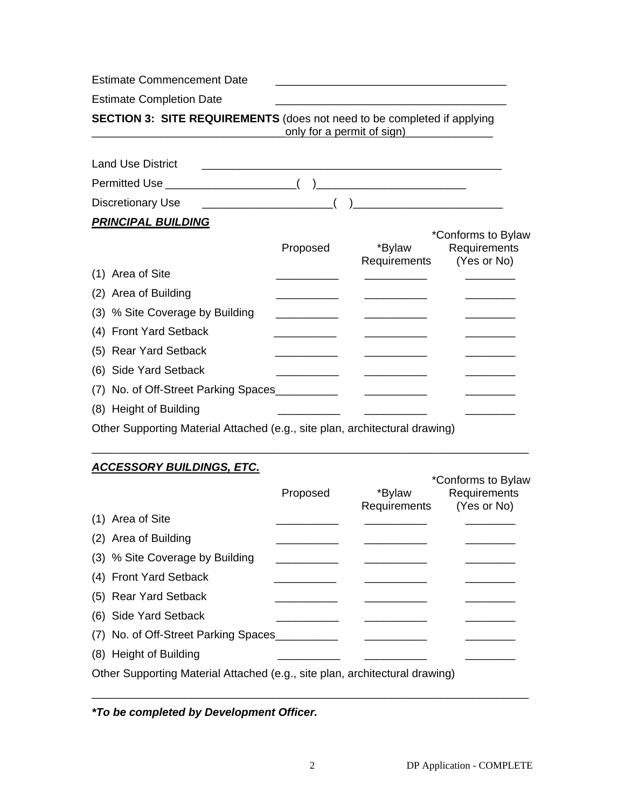Estimate Commencement Date Estimate Completion Date **SECTION 3: SITE REQUIREMENTS** (does not need to be completed if applying only for a permit of sign) Land Use District Permitted Use \_\_\_\_\_\_\_\_\_\_\_\_\_\_\_\_\_\_\_\_\_( )\_\_\_\_\_\_\_\_\_\_\_\_\_\_\_\_\_\_\_\_\_\_\_\_ Discretionary Use \_\_\_\_\_\_\_\_\_\_\_\_\_\_\_\_\_\_\_\_\_( )\_\_\_\_\_\_\_\_\_\_\_\_\_\_\_\_\_\_\_\_\_\_\_\_ *PRINCIPAL BUILDING* \*Conforms to Bylaw Proposed \*Bylaw Requirements Requirements (Yes or No)  $(1)$  Area of Site (2) Area of Building (3) % Site Coverage by Building \_\_\_\_\_\_\_\_\_\_\_\_\_ \_\_\_\_\_\_\_\_\_\_\_\_\_\_ (4) Front Yard Setback (5) Rear Yard Setback (6) Side Yard Setback (7) No. of Off-Street Parking Spaces\_\_\_\_\_\_\_\_\_\_ \_\_\_\_\_\_\_\_\_\_ \_\_\_\_\_\_\_\_ (8) Height of Building

Other Supporting Material Attached (e.g., site plan, architectural drawing)

#### *ACCESSORY BUILDINGS, ETC.*

|                                                                             | Proposed | *Bylaw       | *Conforms to Bylaw<br>Requirements |
|-----------------------------------------------------------------------------|----------|--------------|------------------------------------|
| (1) Area of Site                                                            |          | Requirements | (Yes or No)                        |
|                                                                             |          |              |                                    |
| (2) Area of Building                                                        |          |              |                                    |
| (3) % Site Coverage by Building                                             |          |              |                                    |
| (4) Front Yard Setback                                                      |          |              |                                    |
| (5) Rear Yard Setback                                                       |          |              |                                    |
| (6) Side Yard Setback                                                       |          |              |                                    |
| (7) No. of Off-Street Parking Spaces                                        |          |              |                                    |
| (8) Height of Building                                                      |          |              |                                    |
| Other Supporting Material Attached (e.g., site plan, architectural drawing) |          |              |                                    |

\_\_\_\_\_\_\_\_\_\_\_\_\_\_\_\_\_\_\_\_\_\_\_\_\_\_\_\_\_\_\_\_\_\_\_\_\_\_\_\_\_\_\_\_\_\_\_\_\_\_\_\_\_\_\_\_\_\_\_\_\_\_\_\_\_\_\_\_\_\_

*\*To be completed by Development Officer.* 

\_\_\_\_\_\_\_\_\_\_\_\_\_\_\_\_\_\_\_\_\_\_\_\_\_\_\_\_\_\_\_\_\_\_\_\_\_\_\_\_\_\_\_\_\_\_\_\_\_\_\_\_\_\_\_\_\_\_\_\_\_\_\_\_\_\_\_\_\_\_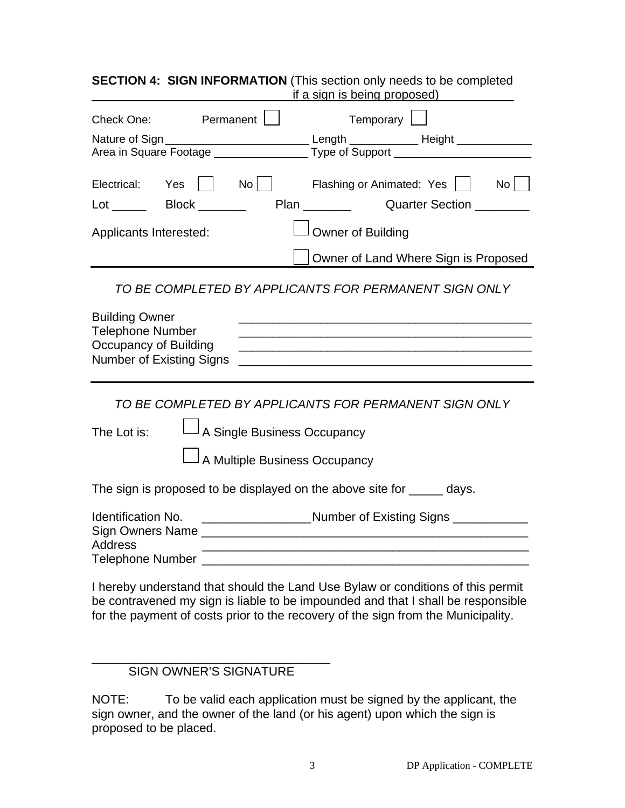#### **SECTION 4: SIGN INFORMATION** (This section only needs to be completed if a sign is being proposed)

| Check One:                                                                                            | Permanent                                                    | Temporary                                                                                                                                                                                                                                                    |
|-------------------------------------------------------------------------------------------------------|--------------------------------------------------------------|--------------------------------------------------------------------------------------------------------------------------------------------------------------------------------------------------------------------------------------------------------------|
|                                                                                                       |                                                              | Nature of Sign __________________________________Length _____________________Height _______________<br>Area in Square Footage ____________________ Type of Support ____________________                                                                      |
| Electrical:<br>$Lot \_\_\_\$ Block $\_\_\_\_\_\_\_\_\$                                                | Yes     No                                                   | $No$  <br>Flashing or Animated: Yes                                                                                                                                                                                                                          |
| Applicants Interested:                                                                                |                                                              | Owner of Building                                                                                                                                                                                                                                            |
|                                                                                                       |                                                              | Owner of Land Where Sign is Proposed                                                                                                                                                                                                                         |
|                                                                                                       |                                                              | TO BE COMPLETED BY APPLICANTS FOR PERMANENT SIGN ONLY                                                                                                                                                                                                        |
| <b>Building Owner</b><br><b>Telephone Number</b><br>Occupancy of Building<br>Number of Existing Signs |                                                              | <u> 1989 - Johann Stoff, amerikansk politiker (* 1908)</u><br><u> 1980 - Jan James James James James James James James James James James James James James James James James J</u><br><u> 1989 - Johann Barn, mars an t-Amerikaansk komponister (* 1958)</u> |
|                                                                                                       |                                                              | TO BE COMPLETED BY APPLICANTS FOR PERMANENT SIGN ONLY                                                                                                                                                                                                        |
| The Lot is:                                                                                           | A Single Business Occupancy<br>A Multiple Business Occupancy |                                                                                                                                                                                                                                                              |
|                                                                                                       |                                                              | The sign is proposed to be displayed on the above site for ______ days.                                                                                                                                                                                      |
| <b>Identification No.</b><br>Address                                                                  |                                                              | _____________________Number of Existing Signs ____________<br><u> 2000 - 2000 - 2000 - 2000 - 2000 - 2000 - 2000 - 2000 - 2000 - 2000 - 2000 - 2000 - 2000 - 2000 - 2000 - 200</u>                                                                           |
|                                                                                                       |                                                              | I hereby understand that should the Land Use Bylaw or conditions of this permit                                                                                                                                                                              |

I hereby understand that should the Land Use Bylaw or conditions of this permit be contravened my sign is liable to be impounded and that I shall be responsible for the payment of costs prior to the recovery of the sign from the Municipality.

#### \_\_\_\_\_\_\_\_\_\_\_\_\_\_\_\_\_\_\_\_\_\_\_\_\_\_\_\_\_\_\_\_\_\_\_ SIGN OWNER'S SIGNATURE

NOTE: To be valid each application must be signed by the applicant, the sign owner, and the owner of the land (or his agent) upon which the sign is proposed to be placed.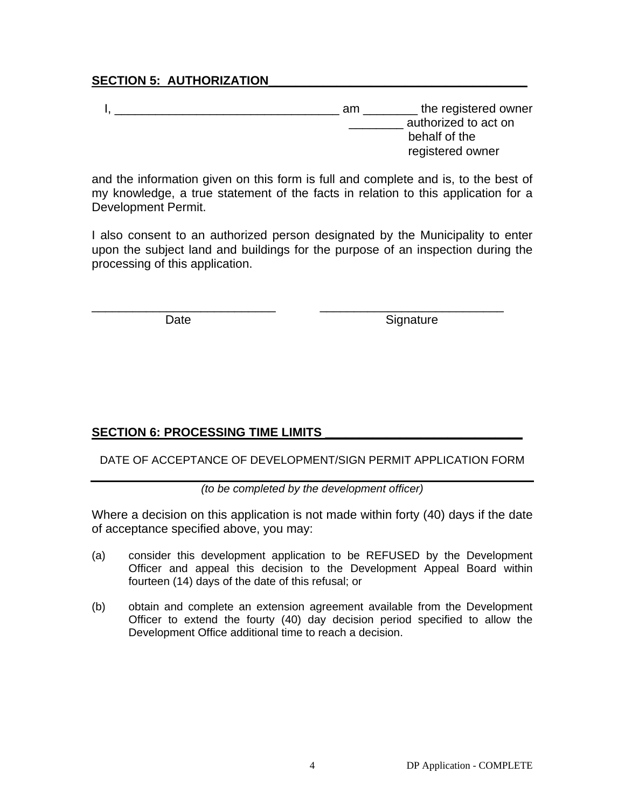#### SECTION 5: AUTHORIZATION

| am | the registered owner |
|----|----------------------|
|    | authorized to act on |
|    | behalf of the        |
|    | registered owner     |

and the information given on this form is full and complete and is, to the best of my knowledge, a true statement of the facts in relation to this application for a Development Permit.

I also consent to an authorized person designated by the Municipality to enter upon the subject land and buildings for the purpose of an inspection during the processing of this application.

\_\_\_\_\_\_\_\_\_\_\_\_\_\_\_\_\_\_\_\_\_\_\_\_\_\_\_ \_\_\_\_\_\_\_\_\_\_\_\_\_\_\_\_\_\_\_\_\_\_\_\_\_\_\_

Date Signature

#### SECTION 6: PROCESSING TIME LIMITS

#### DATE OF ACCEPTANCE OF DEVELOPMENT/SIGN PERMIT APPLICATION FORM

*(to be completed by the development officer)*

Where a decision on this application is not made within forty (40) days if the date of acceptance specified above, you may:

- (a) consider this development application to be REFUSED by the Development Officer and appeal this decision to the Development Appeal Board within fourteen (14) days of the date of this refusal; or
- (b) obtain and complete an extension agreement available from the Development Officer to extend the fourty (40) day decision period specified to allow the Development Office additional time to reach a decision.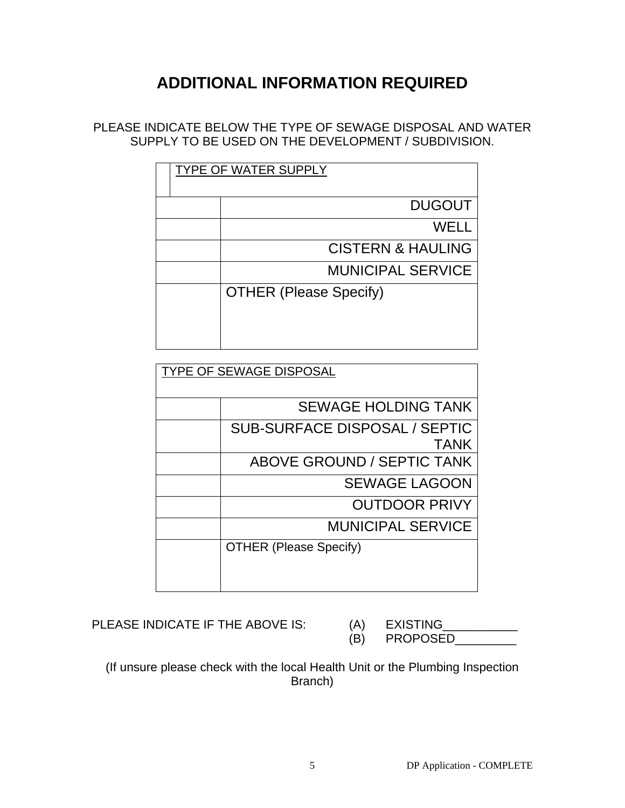## **ADDITIONAL INFORMATION REQUIRED**

PLEASE INDICATE BELOW THE TYPE OF SEWAGE DISPOSAL AND WATER SUPPLY TO BE USED ON THE DEVELOPMENT / SUBDIVISION.

| <b>TYPE OF WATER SUPPLY</b> |                               |  |
|-----------------------------|-------------------------------|--|
|                             | <b>DUGOUT</b>                 |  |
|                             | WELL                          |  |
|                             | <b>CISTERN &amp; HAULING</b>  |  |
|                             | <b>MUNICIPAL SERVICE</b>      |  |
|                             | <b>OTHER (Please Specify)</b> |  |
|                             |                               |  |

| <b>TYPE OF SEWAGE DISPOSAL</b>       |  |  |
|--------------------------------------|--|--|
|                                      |  |  |
| <b>SEWAGE HOLDING TANK</b>           |  |  |
| <b>SUB-SURFACE DISPOSAL / SEPTIC</b> |  |  |
| <b>TANK</b>                          |  |  |
| <b>ABOVE GROUND / SEPTIC TANK</b>    |  |  |
| <b>SEWAGE LAGOON</b>                 |  |  |
| <b>OUTDOOR PRIVY</b>                 |  |  |
| <b>MUNICIPAL SERVICE</b>             |  |  |
| <b>OTHER (Please Specify)</b>        |  |  |
|                                      |  |  |
|                                      |  |  |

PLEASE INDICATE IF THE ABOVE IS: (A) EXISTING

(B) PROPOSED\_\_\_\_\_\_\_\_\_

(If unsure please check with the local Health Unit or the Plumbing Inspection Branch)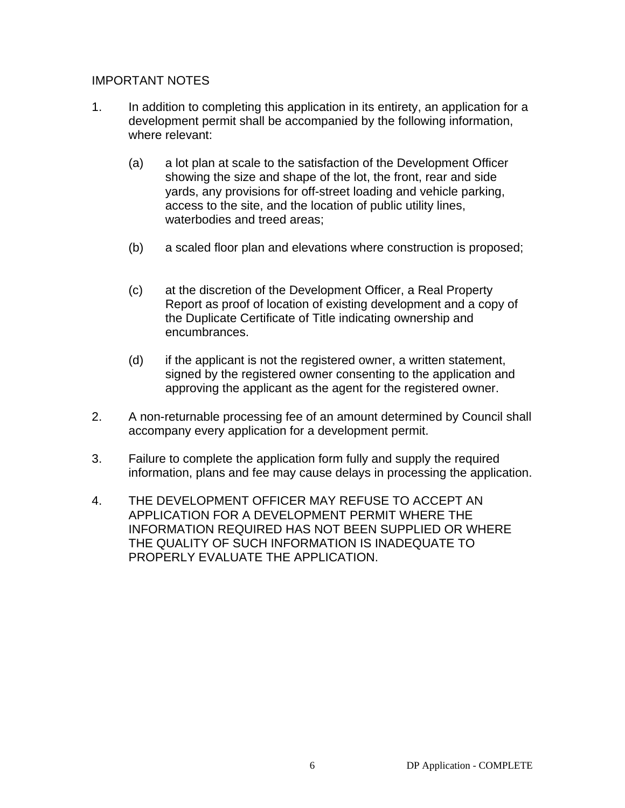#### IMPORTANT NOTES

- 1. In addition to completing this application in its entirety, an application for a development permit shall be accompanied by the following information, where relevant:
	- (a) a lot plan at scale to the satisfaction of the Development Officer showing the size and shape of the lot, the front, rear and side yards, any provisions for off-street loading and vehicle parking, access to the site, and the location of public utility lines, waterbodies and treed areas;
	- (b) a scaled floor plan and elevations where construction is proposed;
	- (c) at the discretion of the Development Officer, a Real Property Report as proof of location of existing development and a copy of the Duplicate Certificate of Title indicating ownership and encumbrances.
	- (d) if the applicant is not the registered owner, a written statement, signed by the registered owner consenting to the application and approving the applicant as the agent for the registered owner.
- 2. A non-returnable processing fee of an amount determined by Council shall accompany every application for a development permit.
- 3. Failure to complete the application form fully and supply the required information, plans and fee may cause delays in processing the application.
- 4. THE DEVELOPMENT OFFICER MAY REFUSE TO ACCEPT AN APPLICATION FOR A DEVELOPMENT PERMIT WHERE THE INFORMATION REQUIRED HAS NOT BEEN SUPPLIED OR WHERE THE QUALITY OF SUCH INFORMATION IS INADEQUATE TO PROPERLY EVALUATE THE APPLICATION.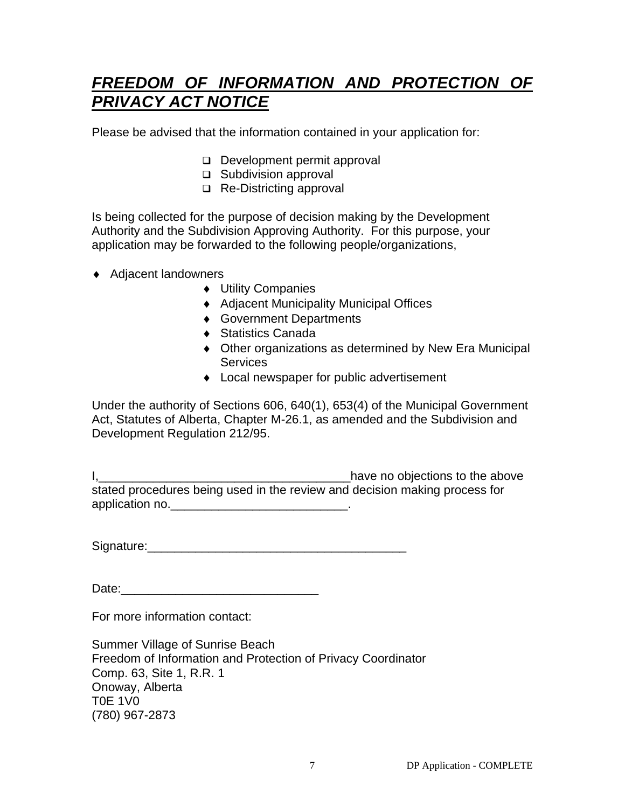## *FREEDOM OF INFORMATION AND PROTECTION OF PRIVACY ACT NOTICE*

Please be advised that the information contained in your application for:

- Development permit approval
- □ Subdivision approval
- □ Re-Districting approval

Is being collected for the purpose of decision making by the Development Authority and the Subdivision Approving Authority. For this purpose, your application may be forwarded to the following people/organizations,

- ♦ Adjacent landowners
	- ♦ Utility Companies
	- ♦ Adjacent Municipality Municipal Offices
	- ♦ Government Departments
	- ♦ Statistics Canada
	- ♦ Other organizations as determined by New Era Municipal **Services**
	- ♦ Local newspaper for public advertisement

Under the authority of Sections 606, 640(1), 653(4) of the Municipal Government Act, Statutes of Alberta, Chapter M-26.1, as amended and the Subdivision and Development Regulation 212/95.

I, 1, 2008 and the above state of the above state of the above state of the above stated procedures being used in the review and decision making process for application no.\_\_\_\_\_\_\_\_\_\_\_\_\_\_\_\_\_\_\_\_\_\_\_\_\_\_.

Signature:

Date:\_\_\_\_\_\_\_\_\_\_\_\_\_\_\_\_\_\_\_\_\_\_\_\_\_\_\_\_\_

For more information contact:

Summer Village of Sunrise Beach Freedom of Information and Protection of Privacy Coordinator Comp. 63, Site 1, R.R. 1 Onoway, Alberta T0E 1V0 (780) 967-2873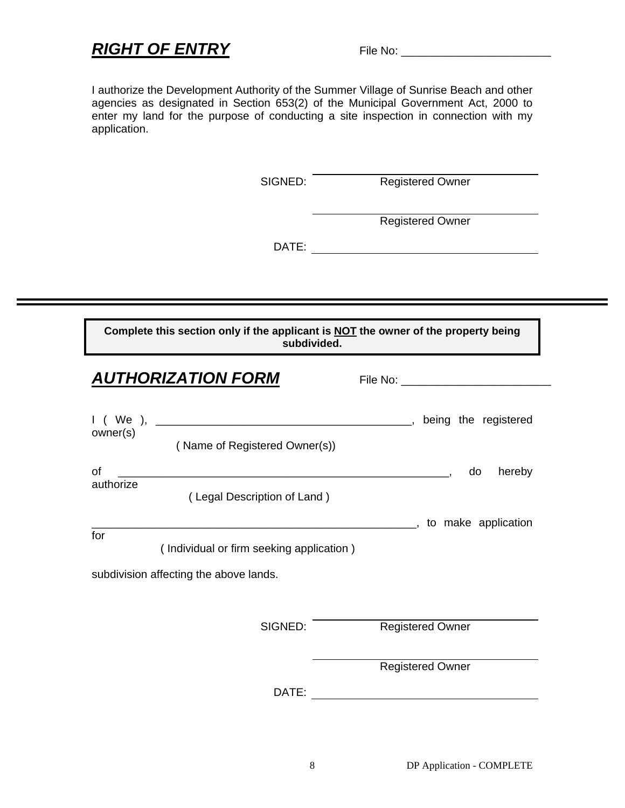### *RIGHT OF ENTRY* File No: \_\_\_\_\_\_\_\_\_\_\_\_\_\_\_\_\_\_\_\_\_\_\_\_

I authorize the Development Authority of the Summer Village of Sunrise Beach and other agencies as designated in Section 653(2) of the Municipal Government Act, 2000 to enter my land for the purpose of conducting a site inspection in connection with my application.

SIGNED: Registered Owner

Registered Owner

DATE:

**Complete this section only if the applicant is NOT the owner of the property being subdivided.** 

|           | <b>AUTHORIZATION FORM</b>                |                               |
|-----------|------------------------------------------|-------------------------------|
|           |                                          |                               |
| owner(s)  | (Name of Registered Owner(s))            |                               |
| of        |                                          | hereby<br>do                  |
| authorize | (Legal Description of Land)              |                               |
| for       |                                          | ________, to make application |
|           | (Individual or firm seeking application) |                               |
|           | subdivision affecting the above lands.   |                               |
|           |                                          |                               |
|           | SIGNED:                                  | <b>Registered Owner</b>       |
|           |                                          | <b>Registered Owner</b>       |
|           | DATE:                                    |                               |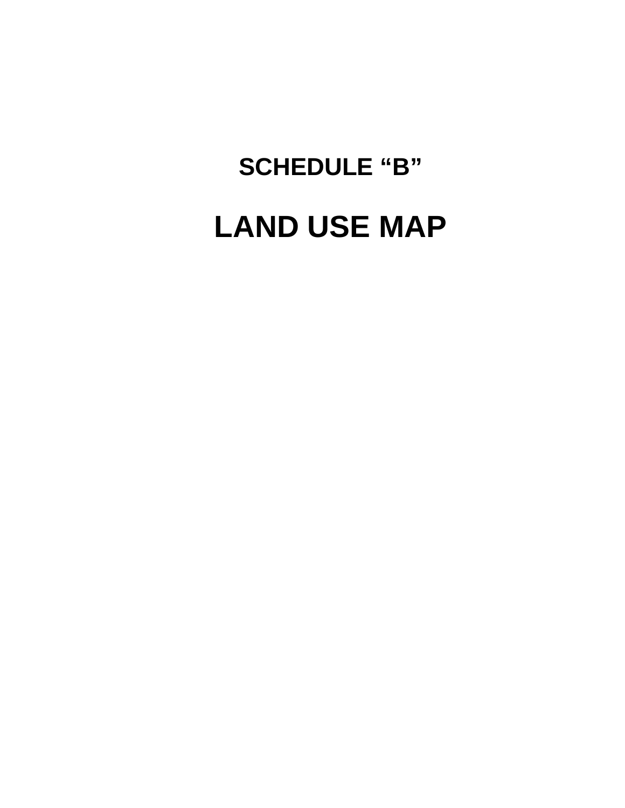# LAND USE MAP

**SCHEDULE "B"**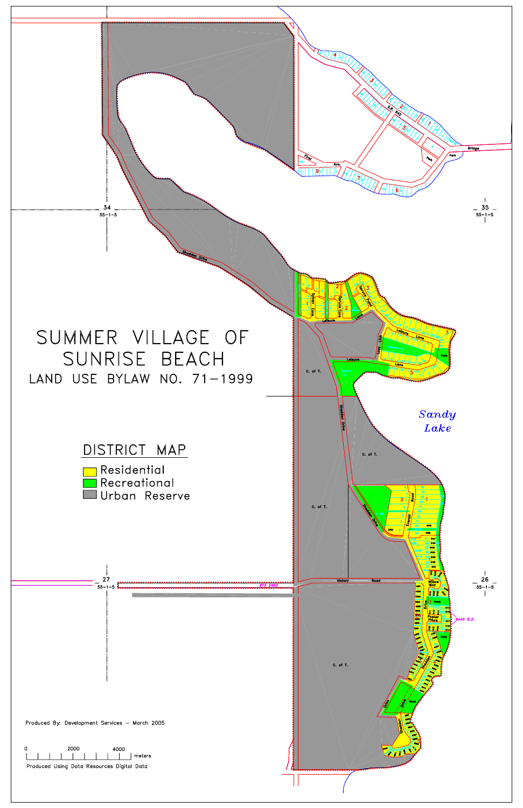

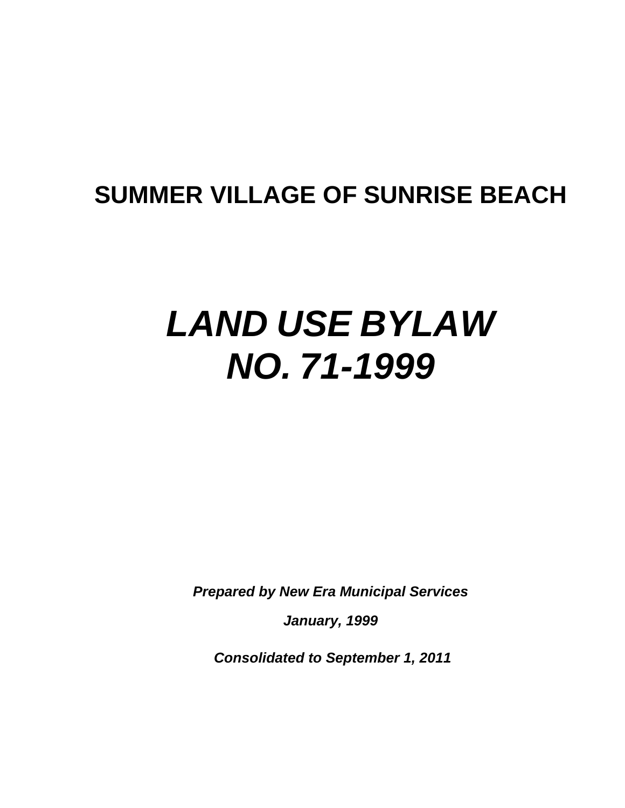## **SUMMER VILLAGE OF SUNRISE BEACH**

# *LAND USE BYLAW NO. 71-1999*

*Prepared by New Era Municipal Services* 

*January, 1999* 

 *Consolidated to September 1, 2011*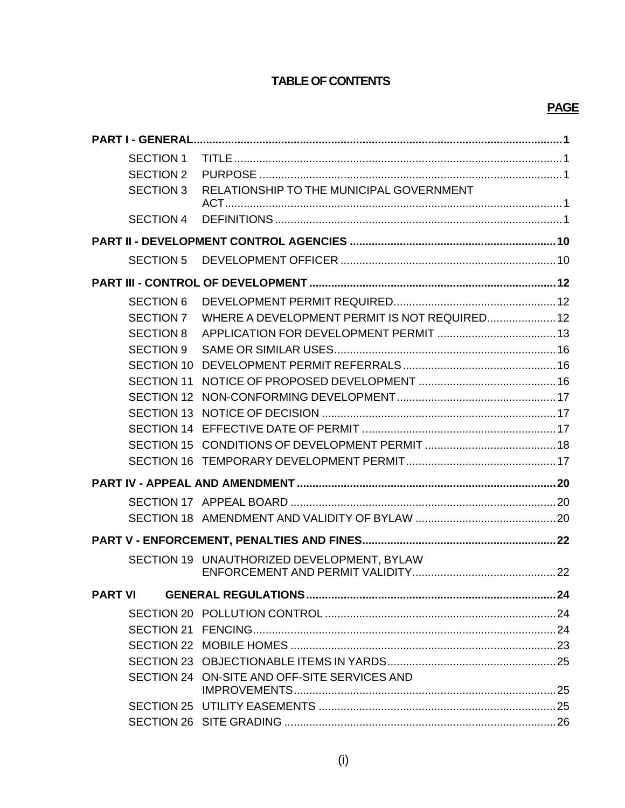#### **TABLE OF CONTENTS**

#### **PAGE**

| <b>PART I - GENERAL</b> |                                               |  |
|-------------------------|-----------------------------------------------|--|
| <b>SECTION 1</b>        |                                               |  |
| <b>SECTION 2</b>        |                                               |  |
| <b>SECTION 3</b>        | RELATIONSHIP TO THE MUNICIPAL GOVERNMENT      |  |
| <b>SECTION 4</b>        |                                               |  |
|                         |                                               |  |
| <b>SECTION 5</b>        |                                               |  |
|                         |                                               |  |
| <b>SECTION 6</b>        |                                               |  |
| <b>SECTION 7</b>        | WHERE A DEVELOPMENT PERMIT IS NOT REQUIRED 12 |  |
| <b>SECTION 8</b>        |                                               |  |
| <b>SECTION 9</b>        |                                               |  |
| <b>SECTION 10</b>       |                                               |  |
| <b>SECTION 11</b>       |                                               |  |
| <b>SECTION 12</b>       |                                               |  |
| <b>SECTION 13</b>       |                                               |  |
| <b>SECTION 14</b>       |                                               |  |
| <b>SECTION 15</b>       |                                               |  |
| <b>SECTION 16</b>       |                                               |  |
|                         |                                               |  |
|                         |                                               |  |
|                         |                                               |  |
|                         |                                               |  |
|                         | SECTION 19 UNAUTHORIZED DEVELOPMENT, BYLAW    |  |
| <b>PART VI</b>          |                                               |  |
|                         |                                               |  |
|                         |                                               |  |
|                         |                                               |  |
|                         |                                               |  |
|                         | SECTION 24 ON-SITE AND OFF-SITE SERVICES AND  |  |
|                         |                                               |  |
|                         |                                               |  |